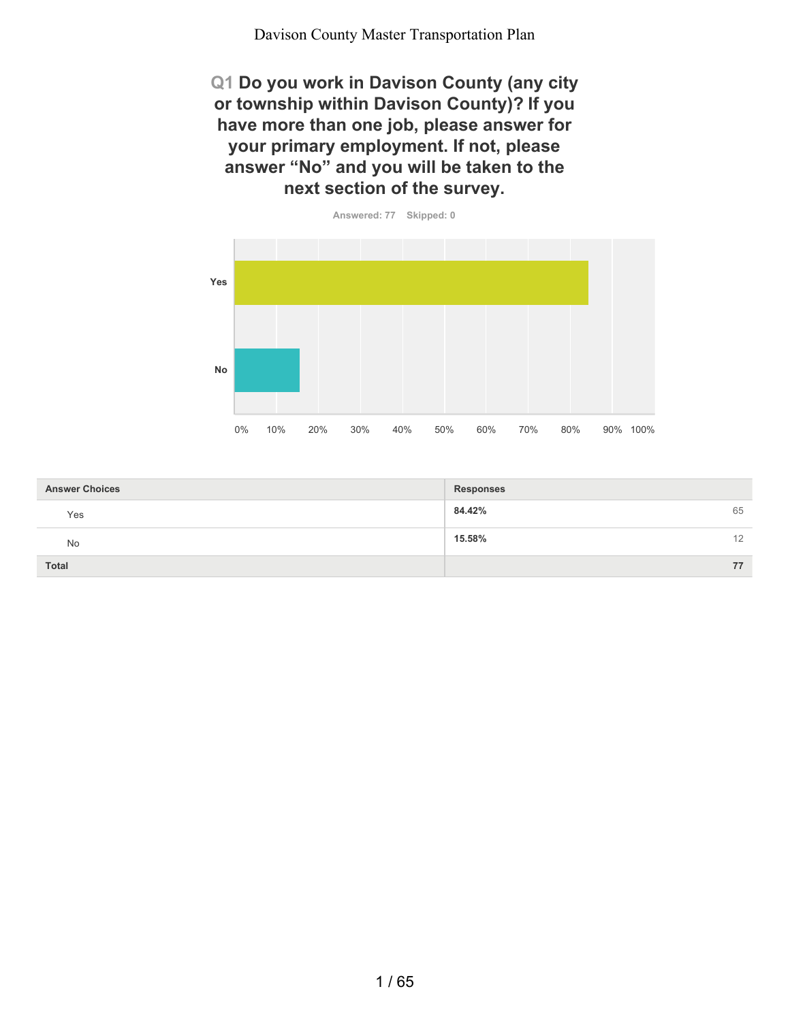**Q1 Do you work in Davison County (any city or township within Davison County)? If you have more than one job, please answer for your primary employment. If not, please answer "No" and you will be taken to the next section of the survey.**



| <b>Answer Choices</b> | <b>Responses</b> |
|-----------------------|------------------|
| Yes                   | 84.42%<br>65     |
| No                    | 15.58%<br>12     |
| <b>Total</b>          | 77               |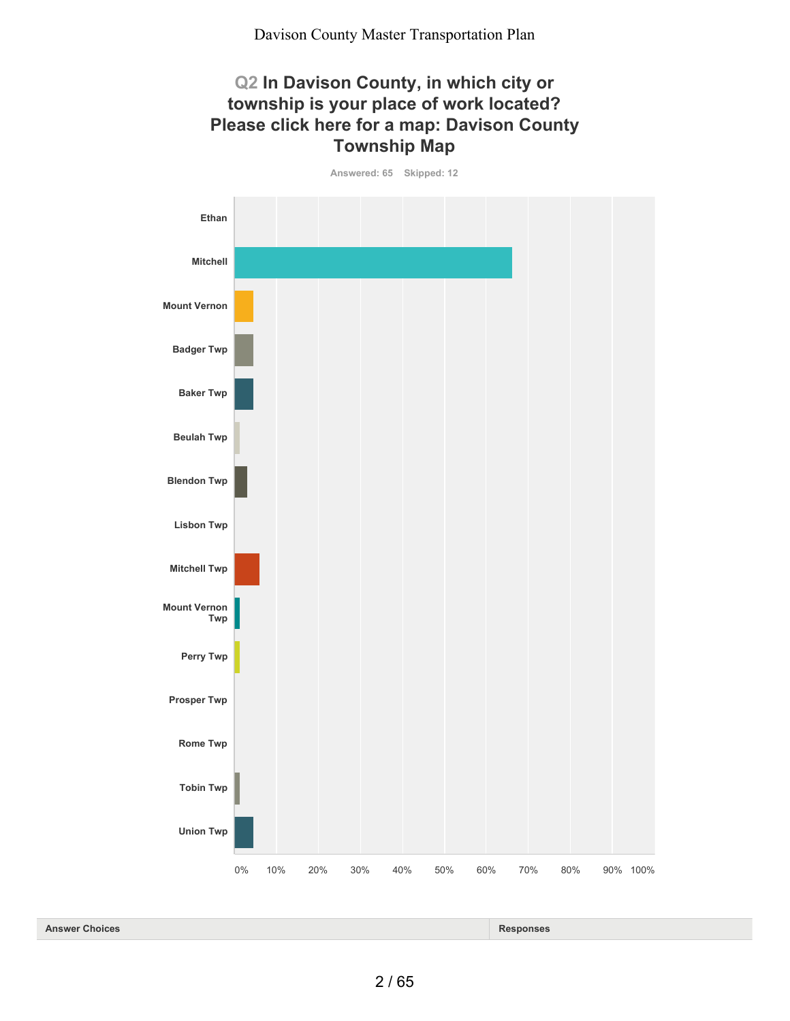## **Q2 In Davison County, in which city or township is your place of work located? Please click here for a map: Davison County Township Map**

**Answered: 65 Skipped: 12**



| <b>Answer</b>  | Re'              |
|----------------|------------------|
| <b>Choices</b> | - - -            |
| .              | - 111363<br>____ |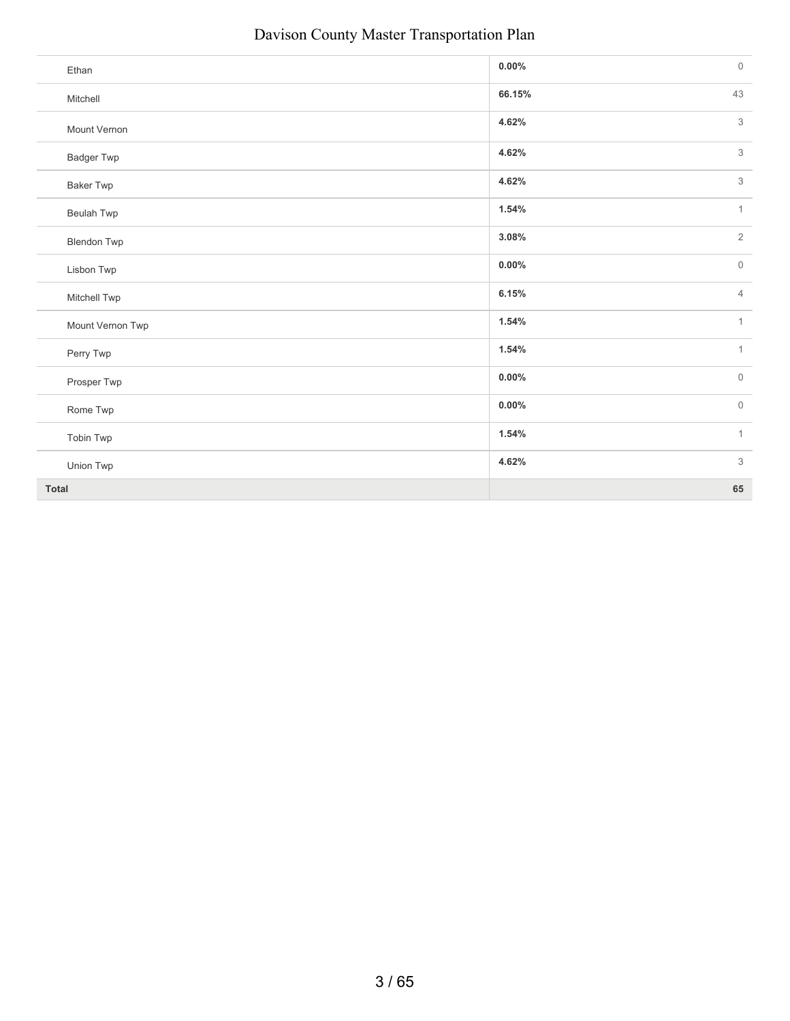| Ethan              | 0.00%    | $\mathsf{O}\xspace$ |
|--------------------|----------|---------------------|
| Mitchell           | 66.15%   | 43                  |
| Mount Vernon       | 4.62%    | $\mathsf 3$         |
| <b>Badger Twp</b>  | 4.62%    | $\mathsf 3$         |
| <b>Baker Twp</b>   | 4.62%    | 3                   |
| Beulah Twp         | 1.54%    | $\mathbf{1}$        |
| <b>Blendon Twp</b> | 3.08%    | $\overline{2}$      |
| Lisbon Twp         | $0.00\%$ | $\mathsf{O}\xspace$ |
| Mitchell Twp       | 6.15%    | $\overline{4}$      |
| Mount Vernon Twp   | 1.54%    | $\mathbf{1}$        |
| Perry Twp          | 1.54%    | $\mathbf{1}$        |
| Prosper Twp        | $0.00\%$ | $\mathbb O$         |
| Rome Twp           | 0.00%    | $\mathsf{O}\xspace$ |
| Tobin Twp          | 1.54%    | $\mathbf{1}$        |
| Union Twp          | 4.62%    | $3\,$               |
| <b>Total</b>       |          | 65                  |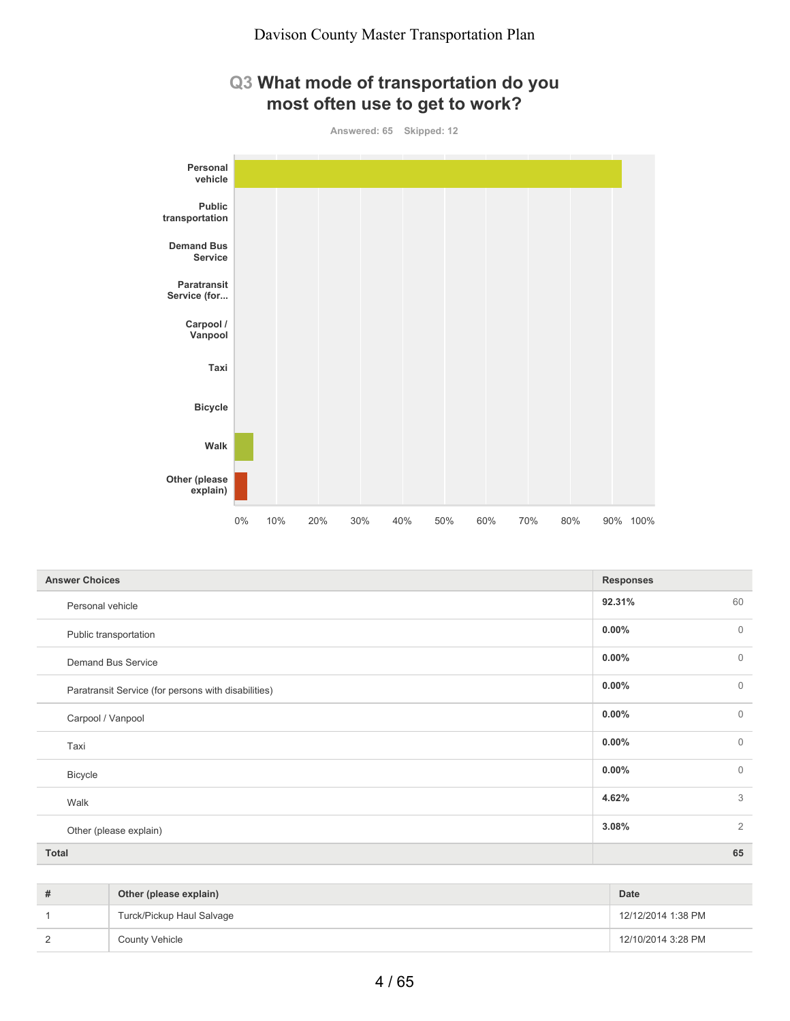## **Q3 What mode of transportation do you most often use to get to work?**

**Answered: 65 Skipped: 12**



| <b>Answer Choices</b>                               | <b>Responses</b> |                |
|-----------------------------------------------------|------------------|----------------|
| Personal vehicle                                    | 92.31%           | 60             |
| Public transportation                               | $0.00\%$         | $\mathbf{0}$   |
| Demand Bus Service                                  | $0.00\%$         | $\mathbf{0}$   |
| Paratransit Service (for persons with disabilities) | $0.00\%$         | $\mathbf{0}$   |
| Carpool / Vanpool                                   | $0.00\%$         | $\mathbf{0}$   |
| Taxi                                                | $0.00\%$         | $\mathbf{0}$   |
| Bicycle                                             | $0.00\%$         | $\mathbf{0}$   |
| Walk                                                | 4.62%            | 3              |
| Other (please explain)                              | 3.08%            | $\overline{2}$ |
| <b>Total</b>                                        |                  | 65             |

| # | Other (please explain)    | Date               |
|---|---------------------------|--------------------|
|   | Turck/Pickup Haul Salvage | 12/12/2014 1:38 PM |
|   | <b>County Vehicle</b>     | 12/10/2014 3:28 PM |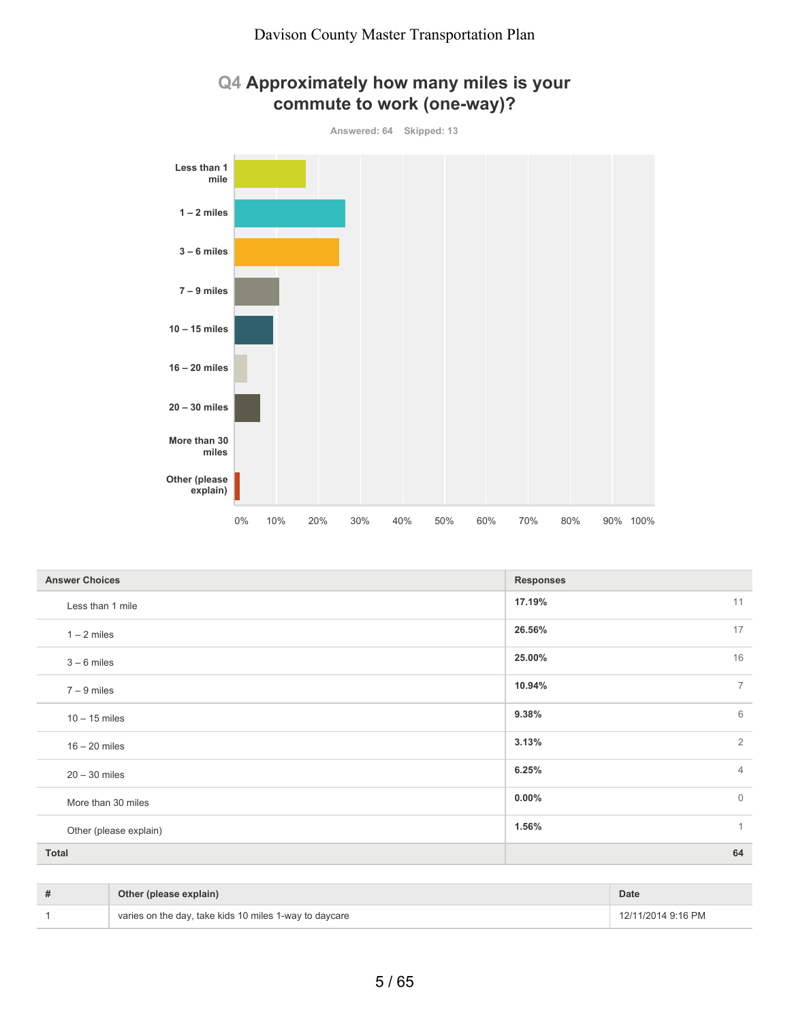

| Q4 Approximately how many miles is your |  |  |
|-----------------------------------------|--|--|
| commute to work (one-way)?              |  |  |

| <b>Answer Choices</b>  | <b>Responses</b>         |
|------------------------|--------------------------|
| Less than 1 mile       | 17.19%<br>11             |
| $1 - 2$ miles          | 17<br>26.56%             |
| $3 - 6$ miles          | 16<br>25.00%             |
| $7 - 9$ miles          | $\overline{7}$<br>10.94% |
| $10 - 15$ miles        | 6<br>9.38%               |
| $16 - 20$ miles        | $\overline{2}$<br>3.13%  |
| $20 - 30$ miles        | 6.25%<br>$\overline{4}$  |
| More than 30 miles     | $\mathbf{0}$<br>$0.00\%$ |
| Other (please explain) | $\mathbf{1}$<br>1.56%    |
| <b>Total</b>           | 64                       |

| Other (please explain)                                 | <b>Date</b>        |
|--------------------------------------------------------|--------------------|
| varies on the day, take kids 10 miles 1-way to daycare | 12/11/2014 9:16 PM |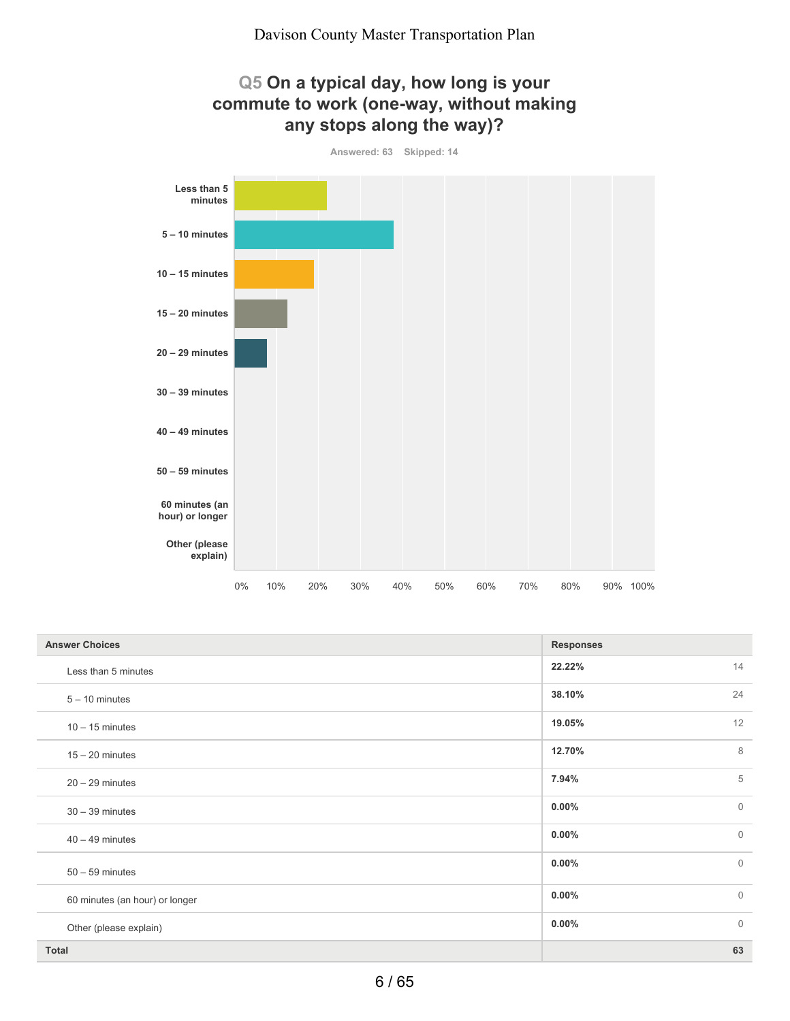

| <b>Answer Choices</b>          | <b>Responses</b>         |
|--------------------------------|--------------------------|
| Less than 5 minutes            | 14<br>22.22%             |
| $5 - 10$ minutes               | 24<br>38.10%             |
| $10 - 15$ minutes              | 12<br>19.05%             |
| $15 - 20$ minutes              | 8<br>12.70%              |
| $20 - 29$ minutes              | 5<br>7.94%               |
| $30 - 39$ minutes              | $0.00\%$<br>$\mathbf 0$  |
| $40 - 49$ minutes              | $\mathbf{0}$<br>$0.00\%$ |
| $50 - 59$ minutes              | $\mathbf{0}$<br>$0.00\%$ |
| 60 minutes (an hour) or longer | $\mathbf{0}$<br>$0.00\%$ |
| Other (please explain)         | $\mathbf{0}$<br>$0.00\%$ |
| <b>Total</b>                   | 63                       |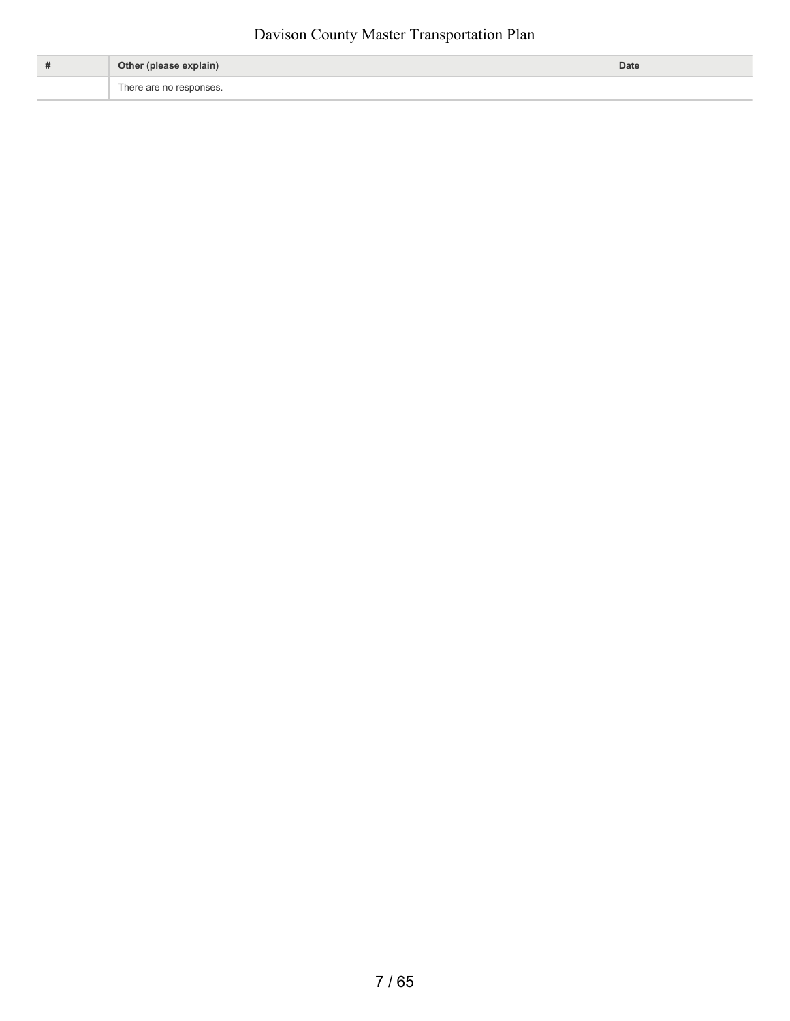| # | Other (please explain)  | Date |
|---|-------------------------|------|
|   | There are no responses. |      |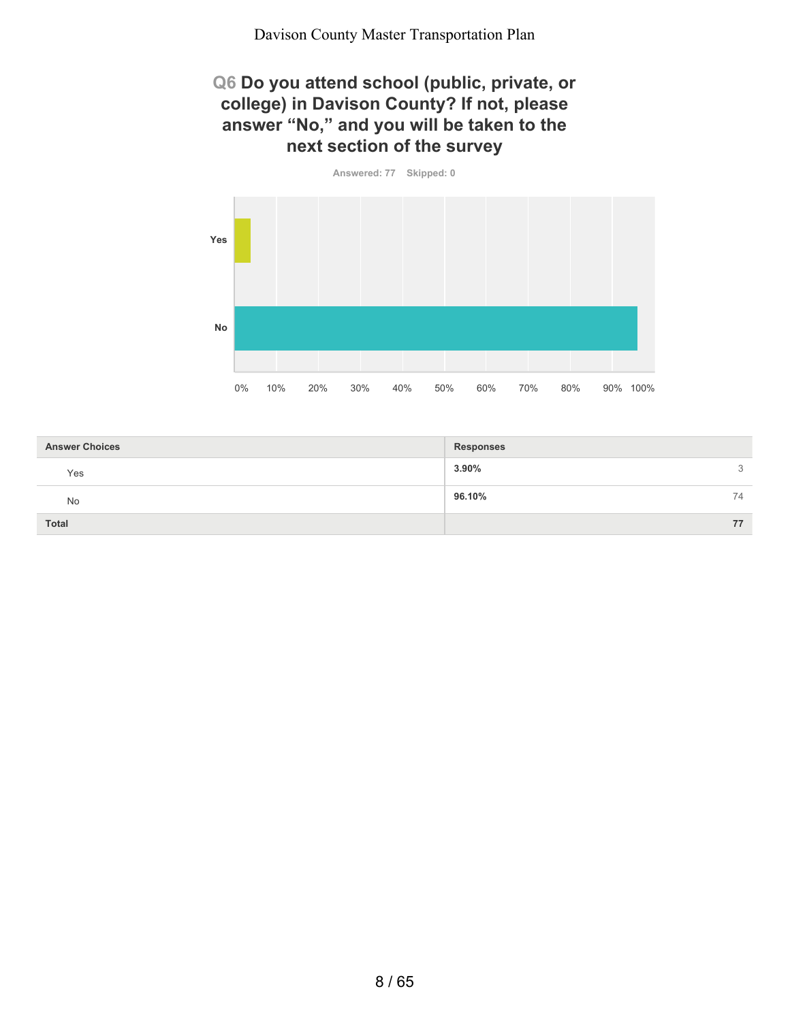#### **Q6 Do you attend school (public, private, or college) in Davison County? If not, please answer "No," and you will be taken to the next section of the survey**

**Answered: 77 Skipped: 0**



| <b>Answer Choices</b> | <b>Responses</b> |
|-----------------------|------------------|
| Yes                   | 3.90%<br>3       |
| No                    | 96.10%<br>74     |
| <b>Total</b>          | 77               |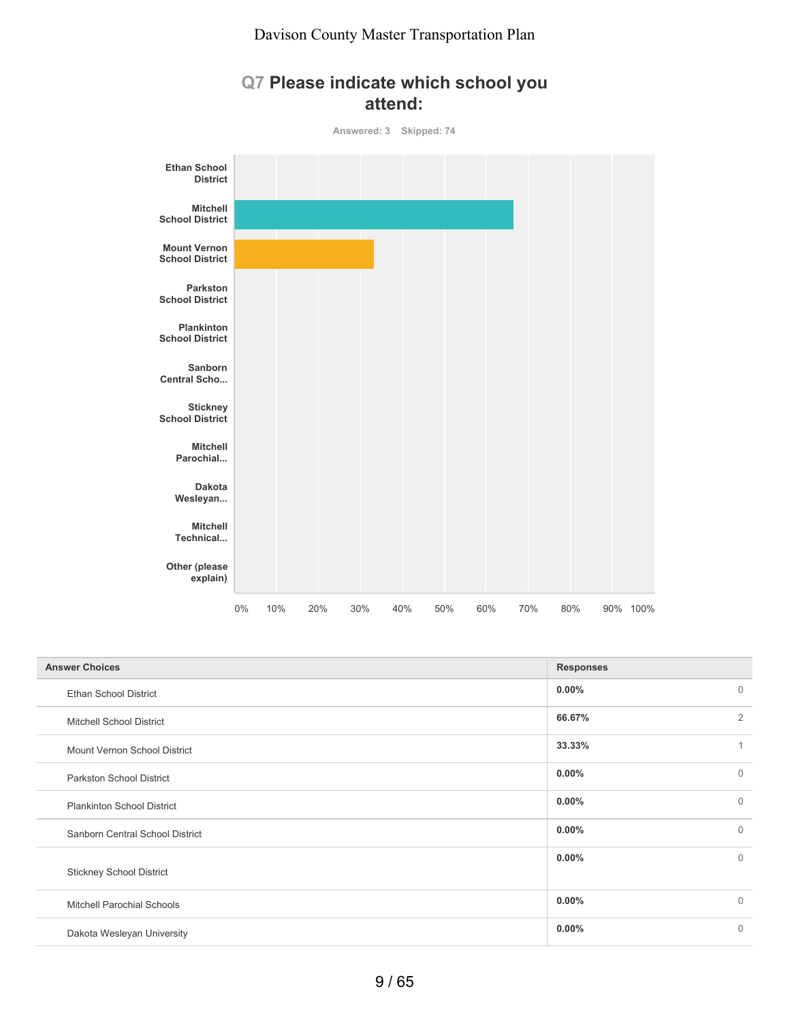### **Q7 Please indicate which school you attend:**

**Answered: 3 Skipped: 74**



| <b>Answer Choices</b>             | <b>Responses</b> |                |
|-----------------------------------|------------------|----------------|
| <b>Ethan School District</b>      | $0.00\%$         | $\overline{0}$ |
| <b>Mitchell School District</b>   | 66.67%           | $\overline{2}$ |
| Mount Vernon School District      | 33.33%           | 1              |
| <b>Parkston School District</b>   | 0.00%            | $\Omega$       |
| <b>Plankinton School District</b> | 0.00%            | $\mathbf 0$    |
| Sanborn Central School District   | 0.00%            | $\Omega$       |
| <b>Stickney School District</b>   | $0.00\%$         | $\Omega$       |
| <b>Mitchell Parochial Schools</b> | $0.00\%$         | $\Omega$       |
| Dakota Wesleyan University        | 0.00%            | $\Omega$       |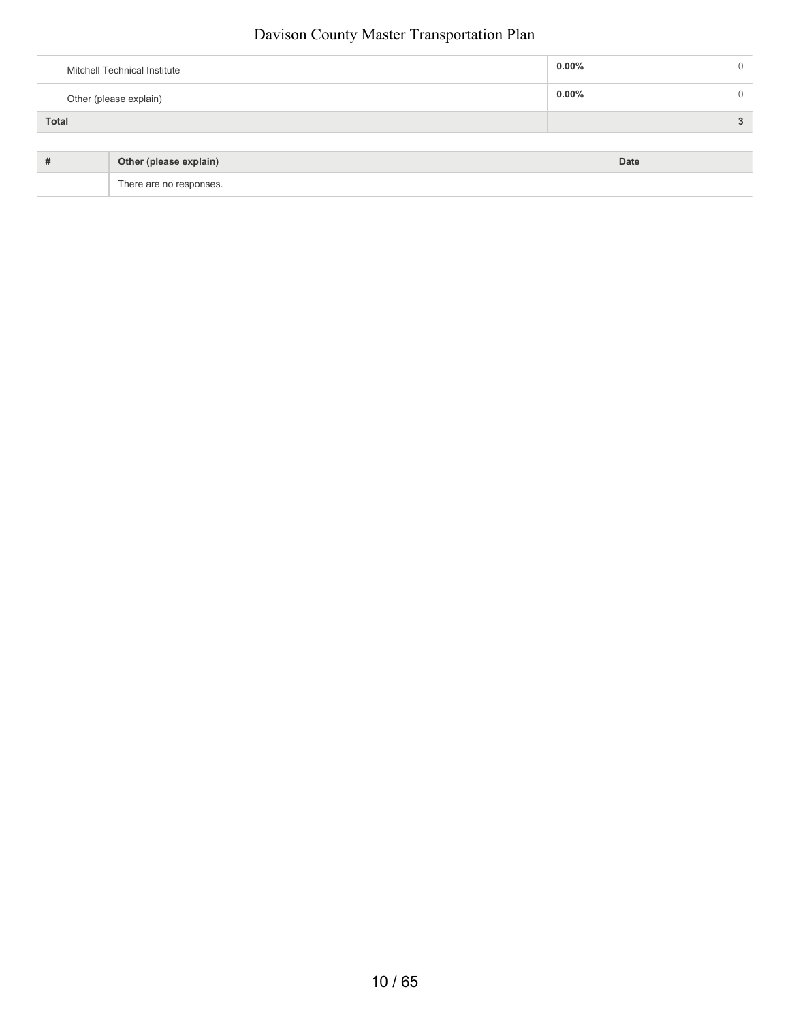| Mitchell Technical Institute | $0.00\%$ |  |
|------------------------------|----------|--|
| Other (please explain)       | $0.00\%$ |  |
| <b>Total</b>                 |          |  |
|                              |          |  |

| Other (please explain)  | Date |
|-------------------------|------|
| There are no responses. |      |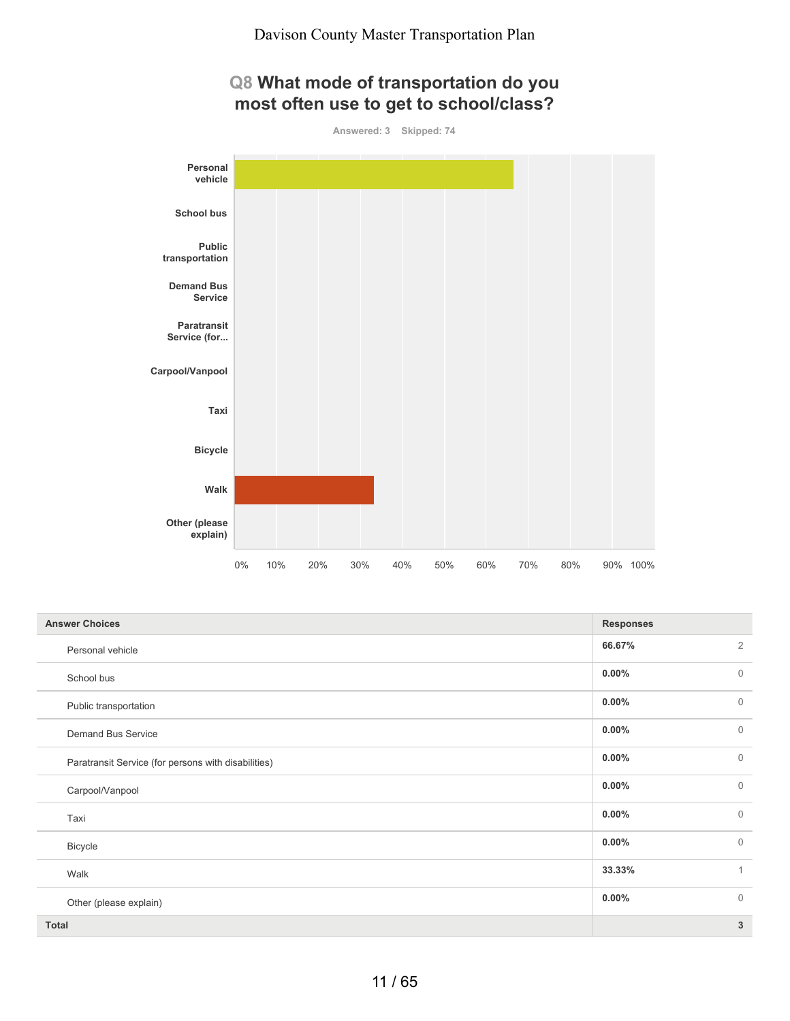## **Q8 What mode of transportation do you most often use to get to school/class?**

**Answered: 3 Skipped: 74**



| <b>Answer Choices</b>                               | <b>Responses</b> |                |
|-----------------------------------------------------|------------------|----------------|
| Personal vehicle                                    | 66.67%           | $\overline{2}$ |
| School bus                                          | $0.00\%$         | $\mathbf{0}$   |
| Public transportation                               | $0.00\%$         | $\mathbf{0}$   |
| <b>Demand Bus Service</b>                           | $0.00\%$         | $\mathbf{0}$   |
| Paratransit Service (for persons with disabilities) | $0.00\%$         | $\overline{0}$ |
| Carpool/Vanpool                                     | $0.00\%$         | $\mathbf{0}$   |
| Taxi                                                | $0.00\%$         | $\overline{0}$ |
| Bicycle                                             | $0.00\%$         | $\overline{0}$ |
| Walk                                                | 33.33%           | $\mathbf{1}$   |
| Other (please explain)                              | $0.00\%$         | $\mathbf{0}$   |
| <b>Total</b>                                        |                  | 3              |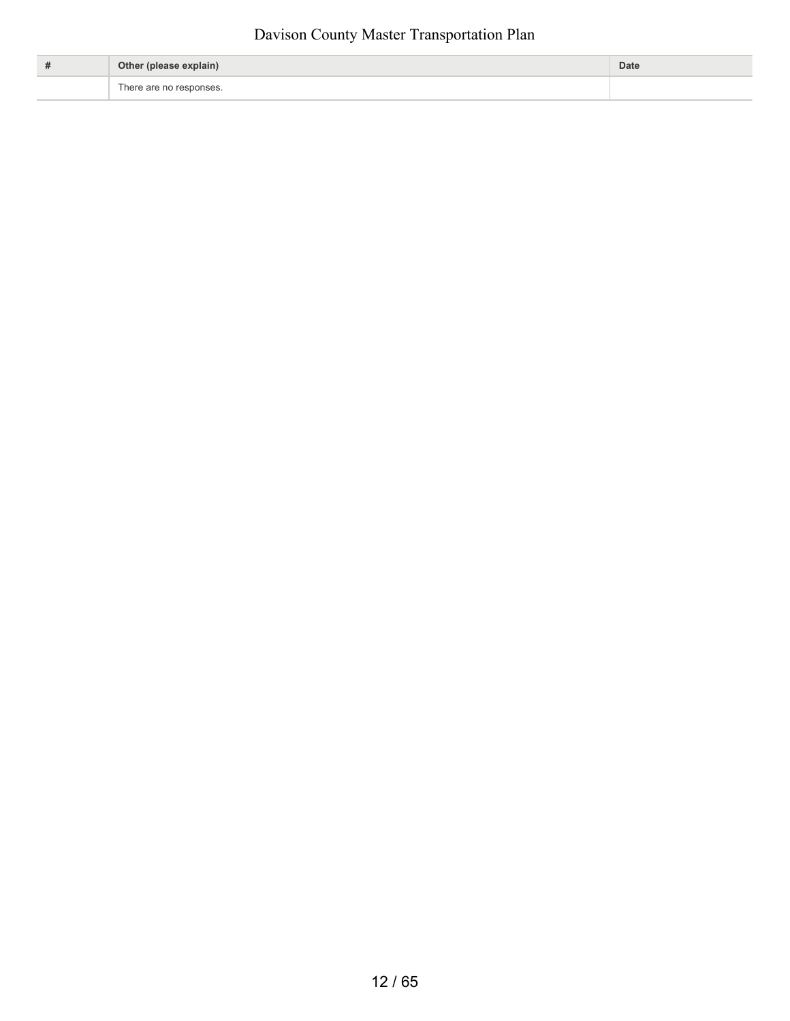| # | Other (please explain)  | <b>Date</b> |
|---|-------------------------|-------------|
|   | There are no responses. |             |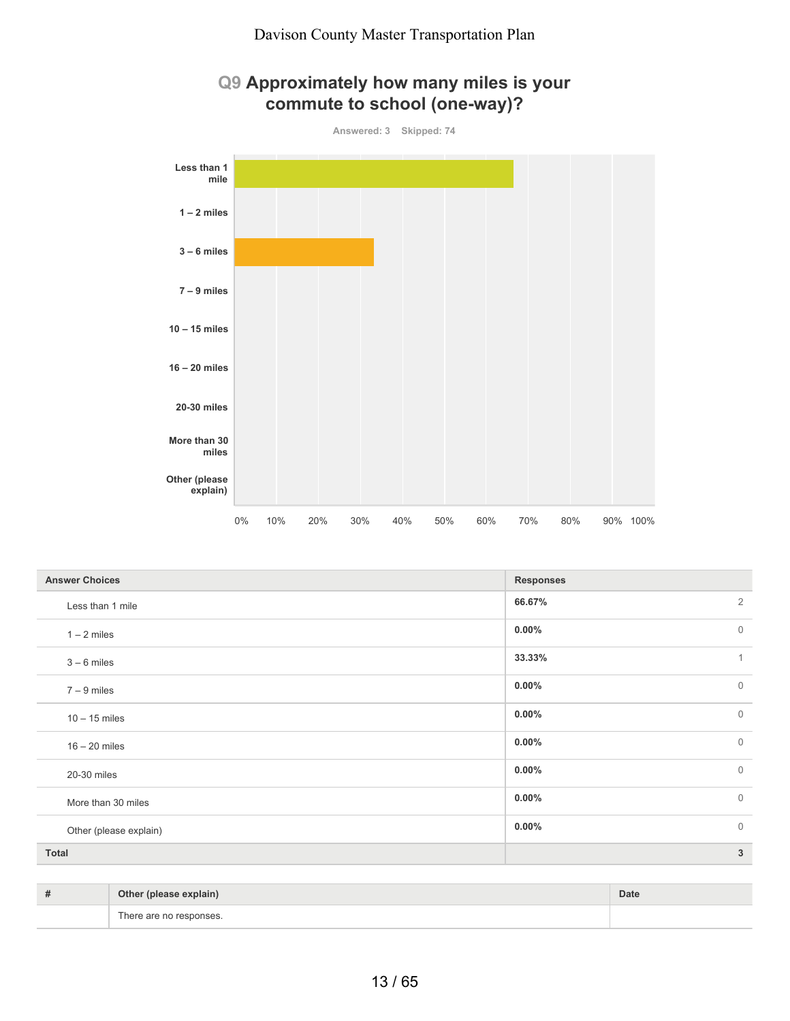





| <b>Answer Choices</b>  | <b>Responses</b>           |
|------------------------|----------------------------|
| Less than 1 mile       | $\overline{2}$<br>66.67%   |
| $1 - 2$ miles          | $\overline{0}$<br>$0.00\%$ |
| $3 - 6$ miles          | 33.33%<br>1                |
| $7 - 9$ miles          | $\overline{0}$<br>$0.00\%$ |
| $10 - 15$ miles        | $\overline{0}$<br>$0.00\%$ |
| $16 - 20$ miles        | $\overline{0}$<br>$0.00\%$ |
| 20-30 miles            | $\overline{0}$<br>$0.00\%$ |
| More than 30 miles     | $\mathbf 0$<br>$0.00\%$    |
| Other (please explain) | $\overline{0}$<br>$0.00\%$ |
| <b>Total</b>           | $\mathbf{3}$               |

| # | Other (please explain)  | <b>Date</b> |
|---|-------------------------|-------------|
|   | There are no responses. |             |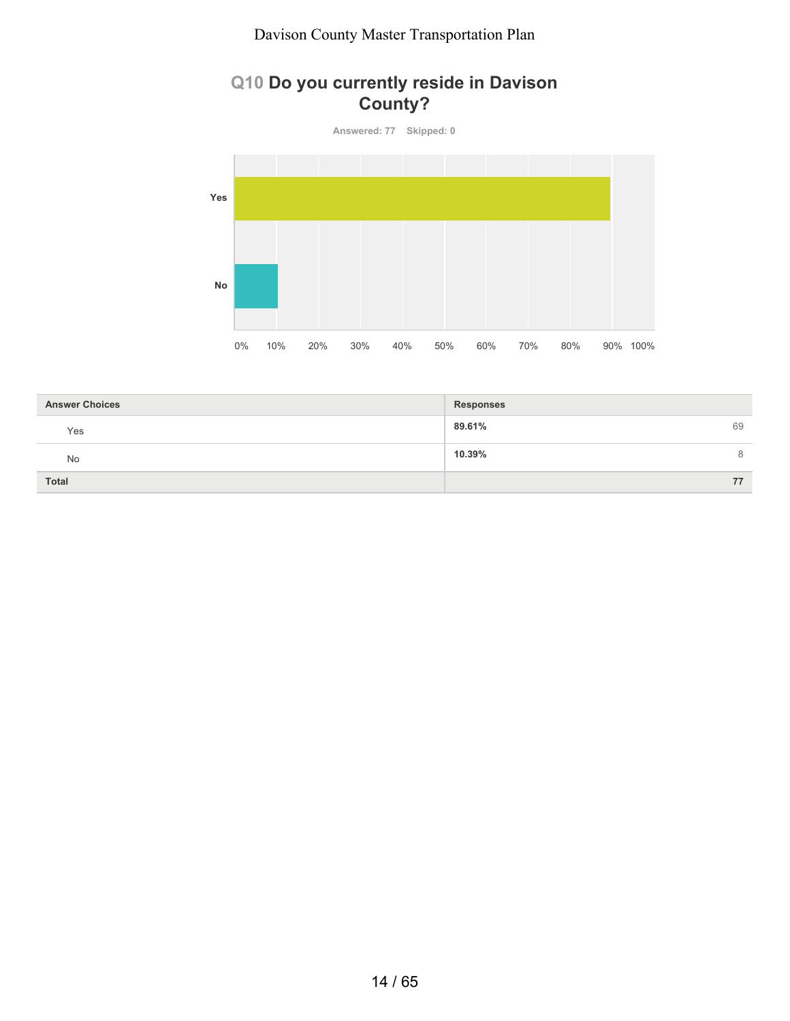## **Q10 Do you currently reside in Davison County?**

**Answered: 77 Skipped: 0**



| <b>Answer Choices</b> | Responses    |
|-----------------------|--------------|
| Yes                   | 89.61%<br>69 |
| No                    | 10.39%<br>8  |
| <b>Total</b>          | 77           |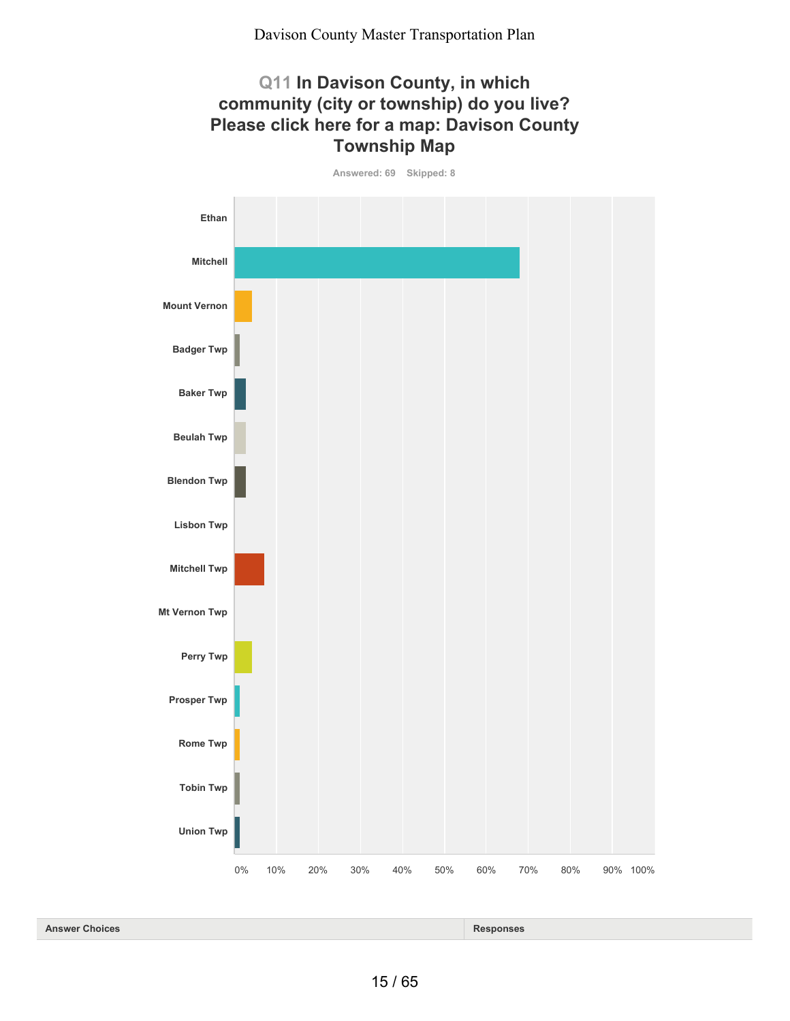## **Q11 In Davison County, in which community (city or township) do you live? Please click here for a map: Davison County Township Map**

**Answered: 69 Skipped: 8**



| <b>Answer</b><br><b>Choices</b> | ponses |
|---------------------------------|--------|
|---------------------------------|--------|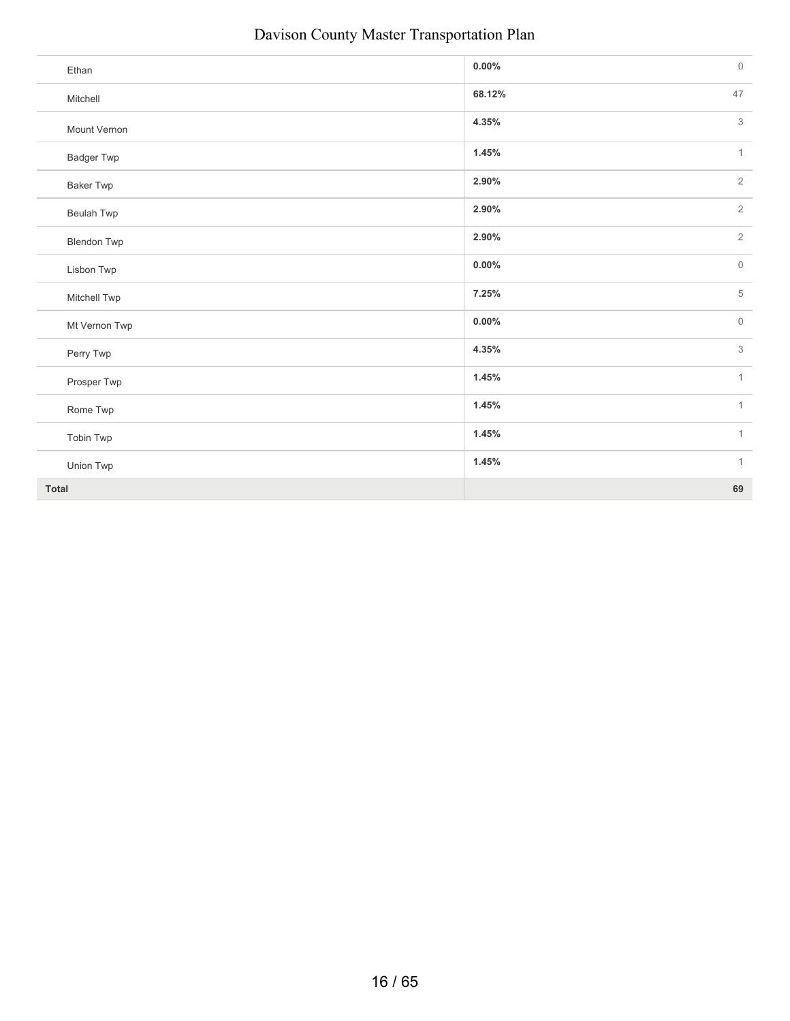| Ethan              | $0.00\%$ | $\mathsf{O}\xspace$ |
|--------------------|----------|---------------------|
| Mitchell           | 68.12%   | 47                  |
| Mount Vernon       | 4.35%    | 3                   |
| <b>Badger Twp</b>  | 1.45%    | $\mathbf{1}$        |
| <b>Baker Twp</b>   | 2.90%    | $\overline{2}$      |
| <b>Beulah Twp</b>  | 2.90%    | $\overline{2}$      |
| <b>Blendon Twp</b> | 2.90%    | $\overline{2}$      |
| Lisbon Twp         | $0.00\%$ | $\circ$             |
| Mitchell Twp       | 7.25%    | 5                   |
| Mt Vernon Twp      | $0.00\%$ | $\mathsf{O}\xspace$ |
| Perry Twp          | 4.35%    | 3                   |
| Prosper Twp        | 1.45%    | $\mathbf{1}$        |
| Rome Twp           | 1.45%    | $\mathbf{1}$        |
| Tobin Twp          | 1.45%    | $\mathbf{1}$        |
| Union Twp          | 1.45%    | $\mathbf{1}$        |
| <b>Total</b>       |          | 69                  |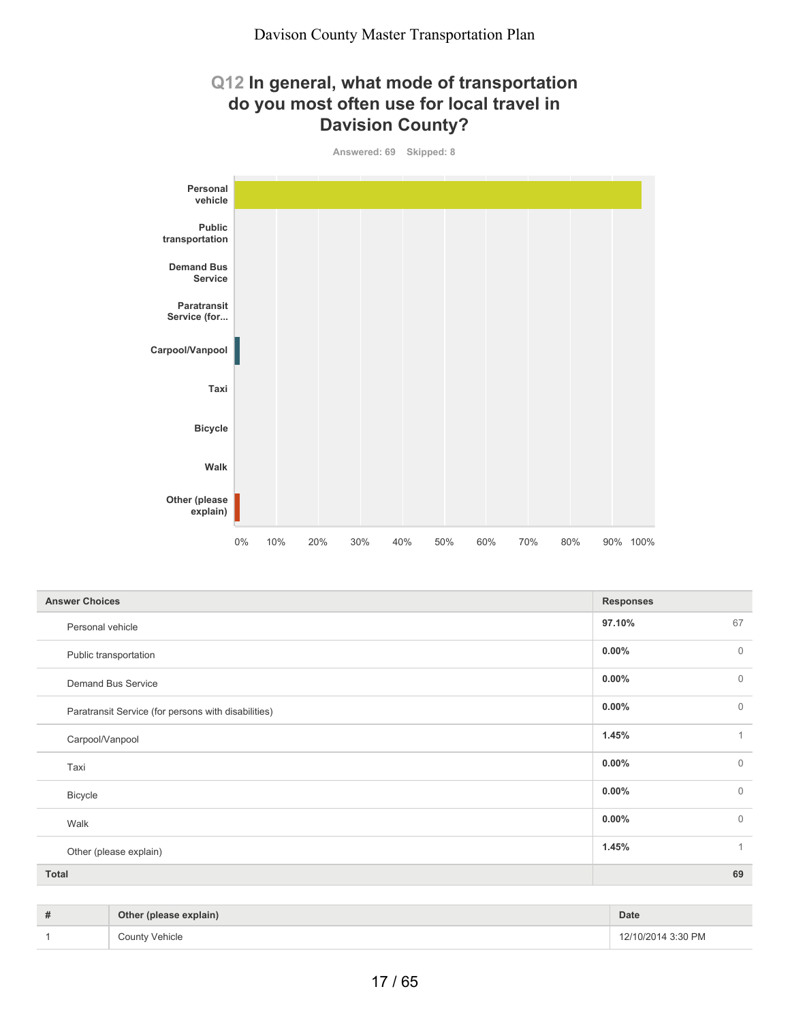## **Q12 In general, what mode of transportation do you most often use for local travel in Davision County?**



| <b>Answer Choices</b>                               | <b>Responses</b>           |
|-----------------------------------------------------|----------------------------|
| Personal vehicle                                    | 97.10%<br>67               |
| Public transportation                               | $0.00\%$<br>$\mathbf{0}$   |
| Demand Bus Service                                  | $0.00\%$<br>$\mathbf{0}$   |
| Paratransit Service (for persons with disabilities) | $\mathbf{0}$<br>$0.00\%$   |
| Carpool/Vanpool                                     | 1.45%<br>$\mathbf{1}$      |
| Taxi                                                | $\overline{0}$<br>$0.00\%$ |
| <b>Bicycle</b>                                      | $\mathbf{0}$<br>$0.00\%$   |
| Walk                                                | $0.00\%$<br>$\mathbf{0}$   |
| Other (please explain)                              | 1.45%<br>$\mathbf{1}$      |
| <b>Total</b>                                        | 69                         |

| # | Other (please explain) | Date               |
|---|------------------------|--------------------|
|   | <b>County Vehicle</b>  | 12/10/2014 3:30 PM |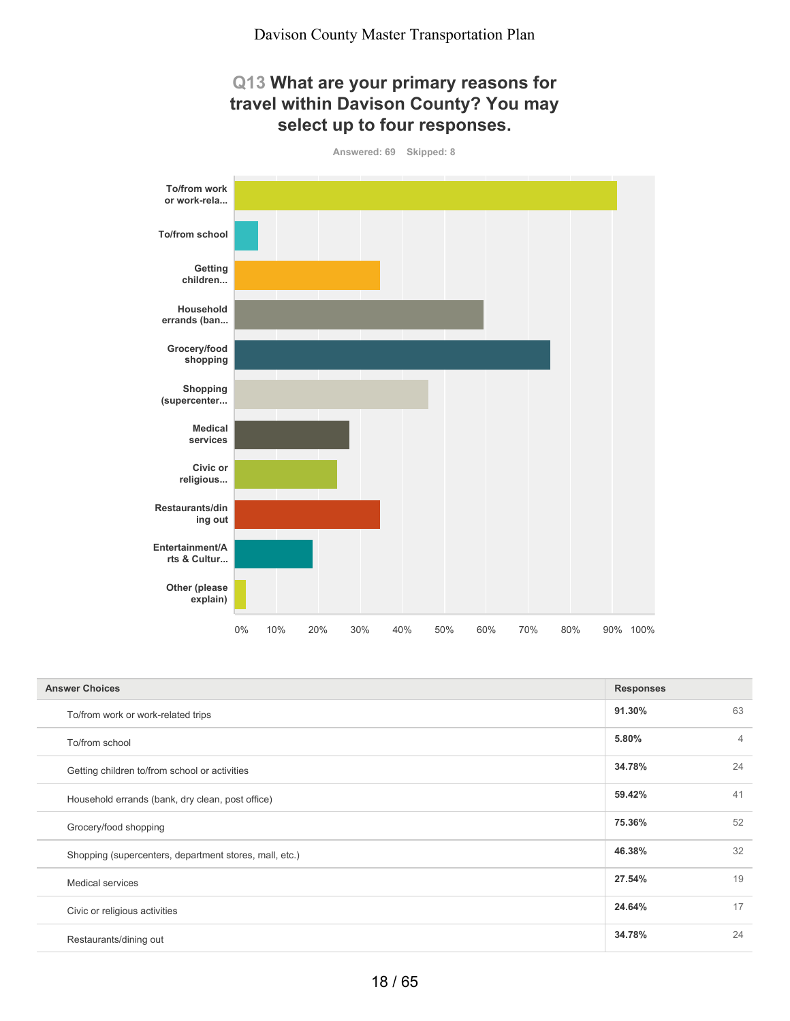## **Q13 What are your primary reasons for travel within Davison County? You may select up to four responses.**



| <b>Answer Choices</b>                                  | <b>Responses</b> |                |
|--------------------------------------------------------|------------------|----------------|
| To/from work or work-related trips                     | 91.30%           | 63             |
| To/from school                                         | 5.80%            | $\overline{4}$ |
| Getting children to/from school or activities          | 34.78%           | 24             |
| Household errands (bank, dry clean, post office)       | 59.42%           | 41             |
| Grocery/food shopping                                  | 75.36%           | 52             |
| Shopping (supercenters, department stores, mall, etc.) | 46.38%           | 32             |
| Medical services                                       | 27.54%           | 19             |
| Civic or religious activities                          | 24.64%           | 17             |
| Restaurants/dining out                                 | 34.78%           | 24             |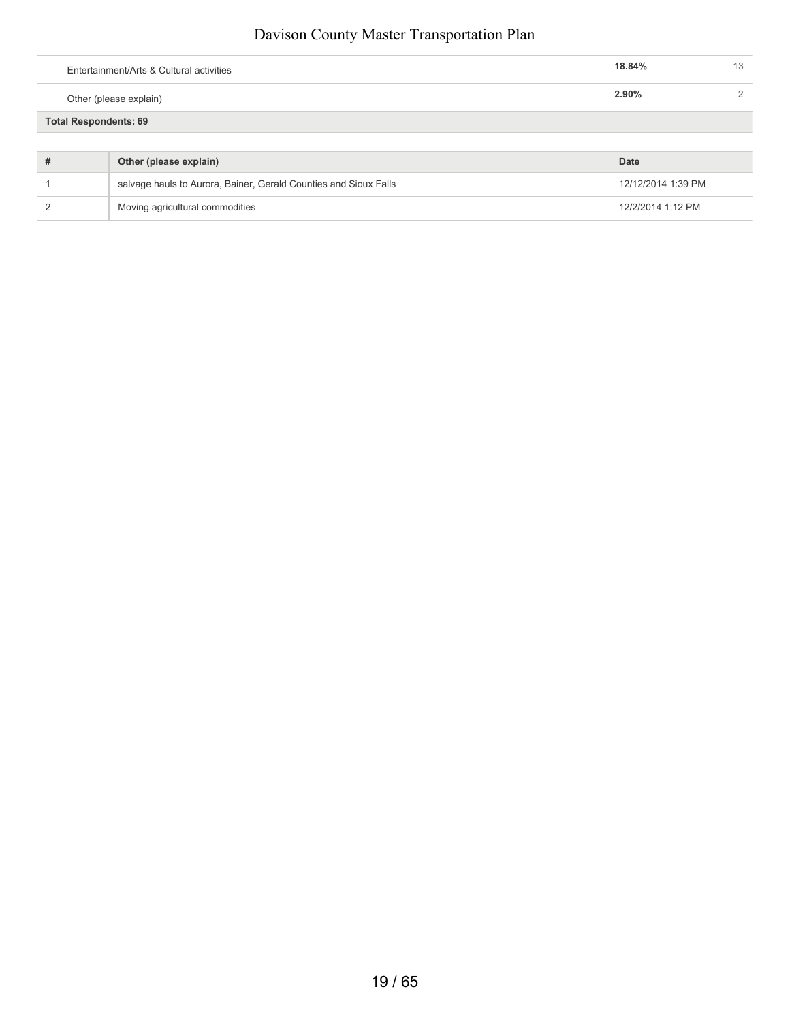| Total Respondents: 69                    |        |    |
|------------------------------------------|--------|----|
| Other (please explain)                   | 2.90%  |    |
| Entertainment/Arts & Cultural activities | 18.84% | 13 |

| Other (please explain)                                           | Date               |
|------------------------------------------------------------------|--------------------|
| salvage hauls to Aurora, Bainer, Gerald Counties and Sioux Falls | 12/12/2014 1:39 PM |
| Moving agricultural commodities                                  | 12/2/2014 1:12 PM  |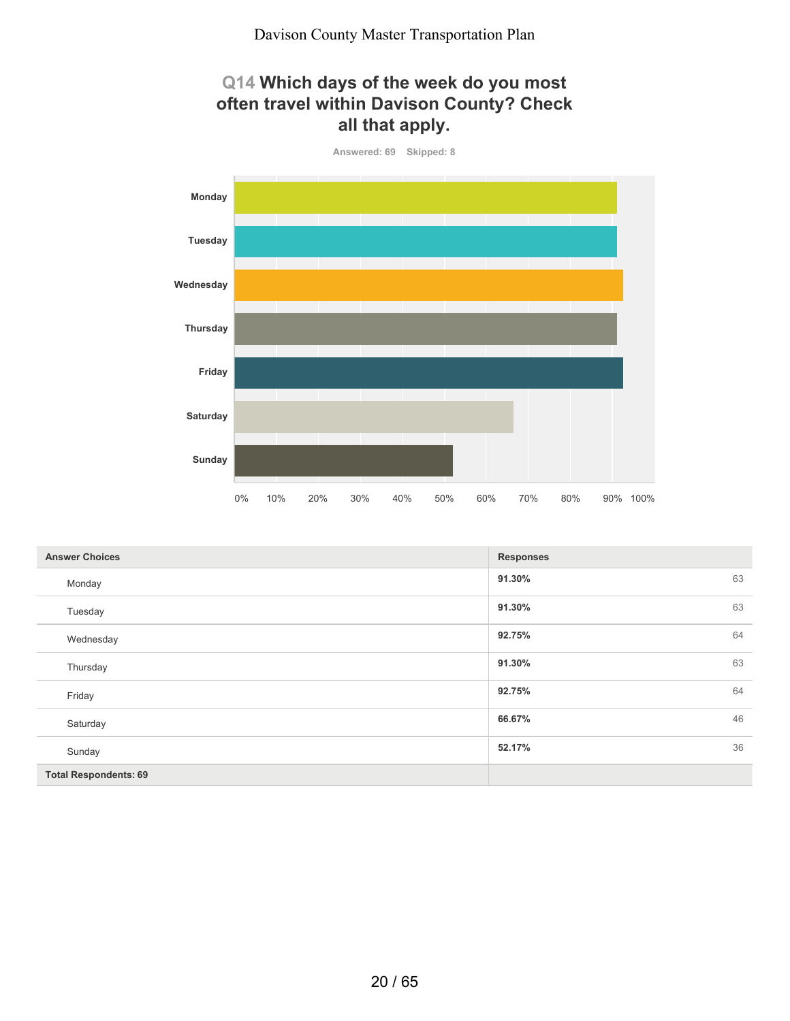## **Q14 Which days of the week do you most often travel within Davison County? Check all that apply.**



| <b>Answer Choices</b>        | <b>Responses</b> |    |
|------------------------------|------------------|----|
| Monday                       | 91.30%           | 63 |
| Tuesday                      | 91.30%           | 63 |
| Wednesday                    | 92.75%           | 64 |
| Thursday                     | 91.30%           | 63 |
| Friday                       | 92.75%           | 64 |
| Saturday                     | 66.67%           | 46 |
| Sunday                       | 52.17%           | 36 |
| <b>Total Respondents: 69</b> |                  |    |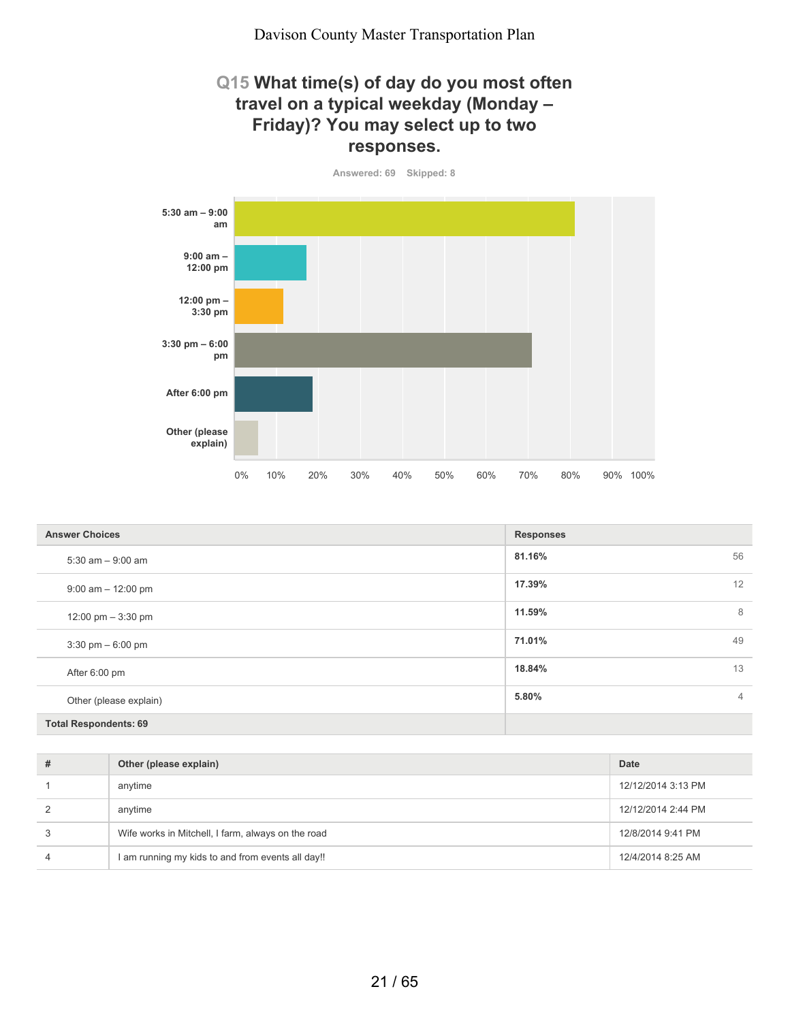#### **Q15 What time(s) of day do you most often travel on a typical weekday (Monday – Friday)? You may select up to two responses.**

**Answered: 69 Skipped: 8**



| <b>Answer Choices</b>               | <b>Responses</b>        |
|-------------------------------------|-------------------------|
| $5:30$ am $-9:00$ am                | 81.16%<br>56            |
| $9:00$ am $-12:00$ pm               | 12<br>17.39%            |
| 12:00 pm $-3:30$ pm                 | 8<br>11.59%             |
| $3:30 \text{ pm} - 6:00 \text{ pm}$ | 49<br>71.01%            |
| After 6:00 pm                       | 13<br>18.84%            |
| Other (please explain)              | 5.80%<br>$\overline{4}$ |
| <b>Total Respondents: 69</b>        |                         |

| # | Other (please explain)                             | <b>Date</b>        |
|---|----------------------------------------------------|--------------------|
|   | anytime                                            | 12/12/2014 3:13 PM |
|   | anytime                                            | 12/12/2014 2:44 PM |
|   | Wife works in Mitchell, I farm, always on the road | 12/8/2014 9:41 PM  |
|   | I am running my kids to and from events all day!!  | 12/4/2014 8:25 AM  |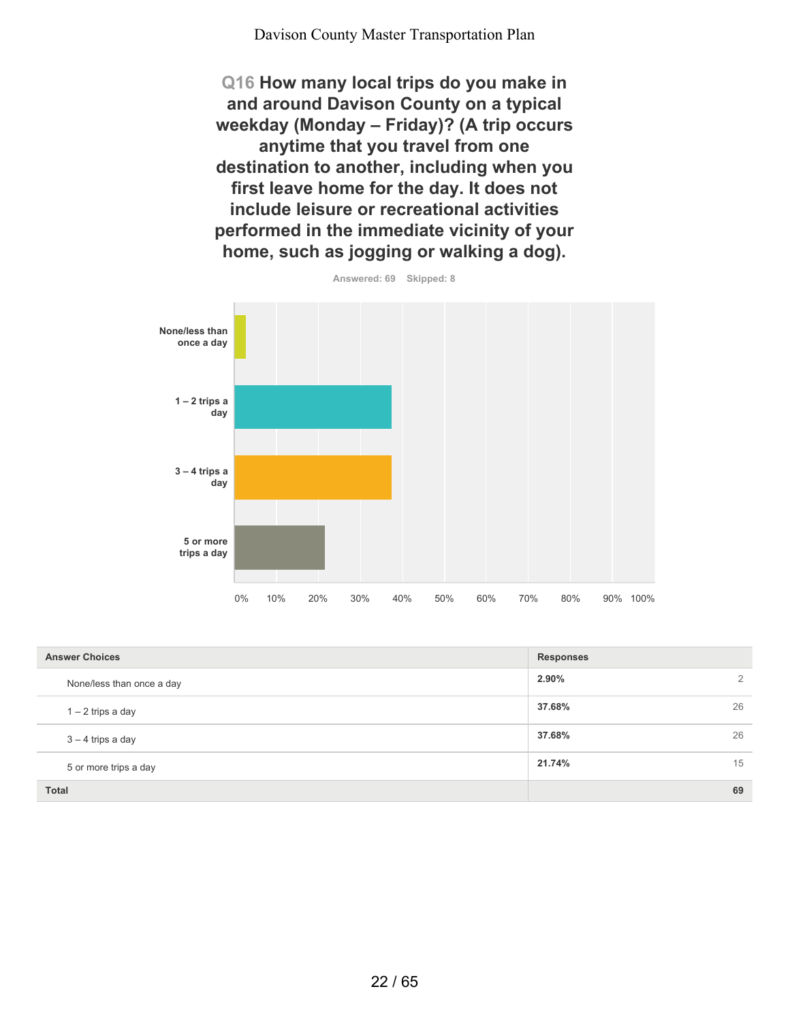**Q16 How many local trips do you make in and around Davison County on a typical weekday (Monday – Friday)? (A trip occurs anytime that you travel from one destination to another, including when you first leave home for the day. It does not include leisure or recreational activities performed in the immediate vicinity of your home, such as jogging or walking a dog).**



| <b>Answer Choices</b>     | <b>Responses</b> |    |
|---------------------------|------------------|----|
| None/less than once a day | 2.90%            | 2  |
| $1 - 2$ trips a day       | 37.68%           | 26 |
| $3 - 4$ trips a day       | 37.68%           | 26 |
| 5 or more trips a day     | 21.74%           | 15 |
| <b>Total</b>              |                  | 69 |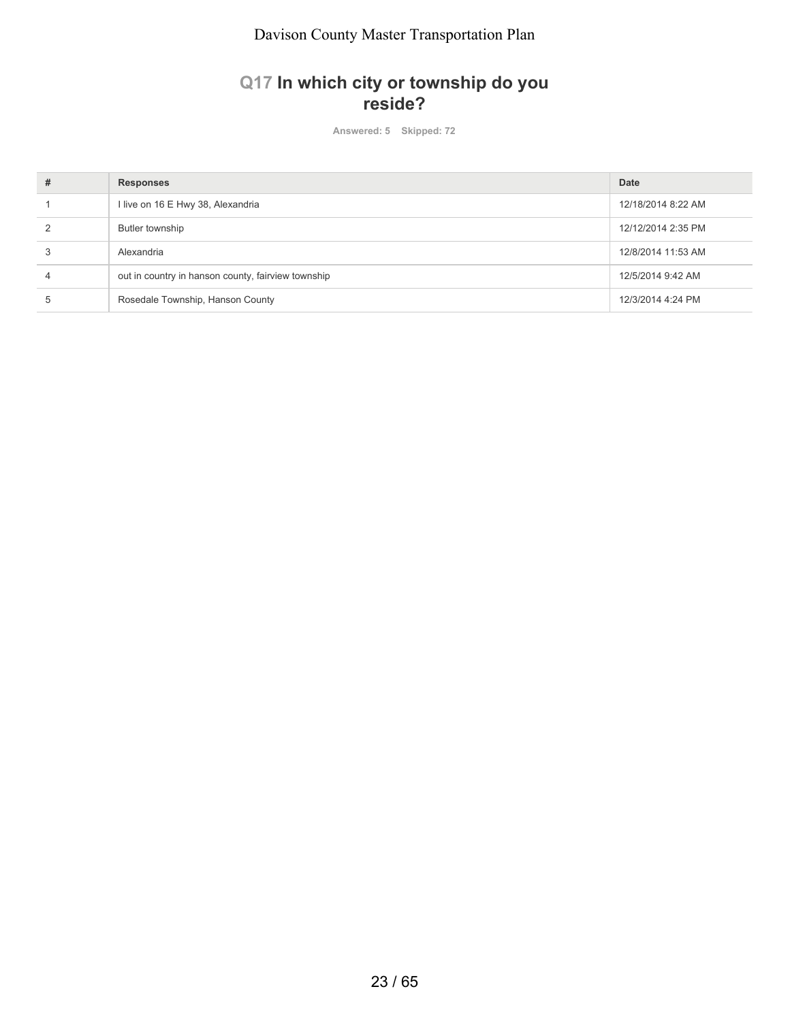## **Q17 In which city or township do you reside?**

**Answered: 5 Skipped: 72**

| # | <b>Responses</b>                                   | <b>Date</b>        |
|---|----------------------------------------------------|--------------------|
|   | I live on 16 E Hwy 38, Alexandria                  | 12/18/2014 8:22 AM |
|   | Butler township                                    | 12/12/2014 2:35 PM |
|   | Alexandria                                         | 12/8/2014 11:53 AM |
| 4 | out in country in hanson county, fairview township | 12/5/2014 9:42 AM  |
|   | Rosedale Township, Hanson County                   | 12/3/2014 4:24 PM  |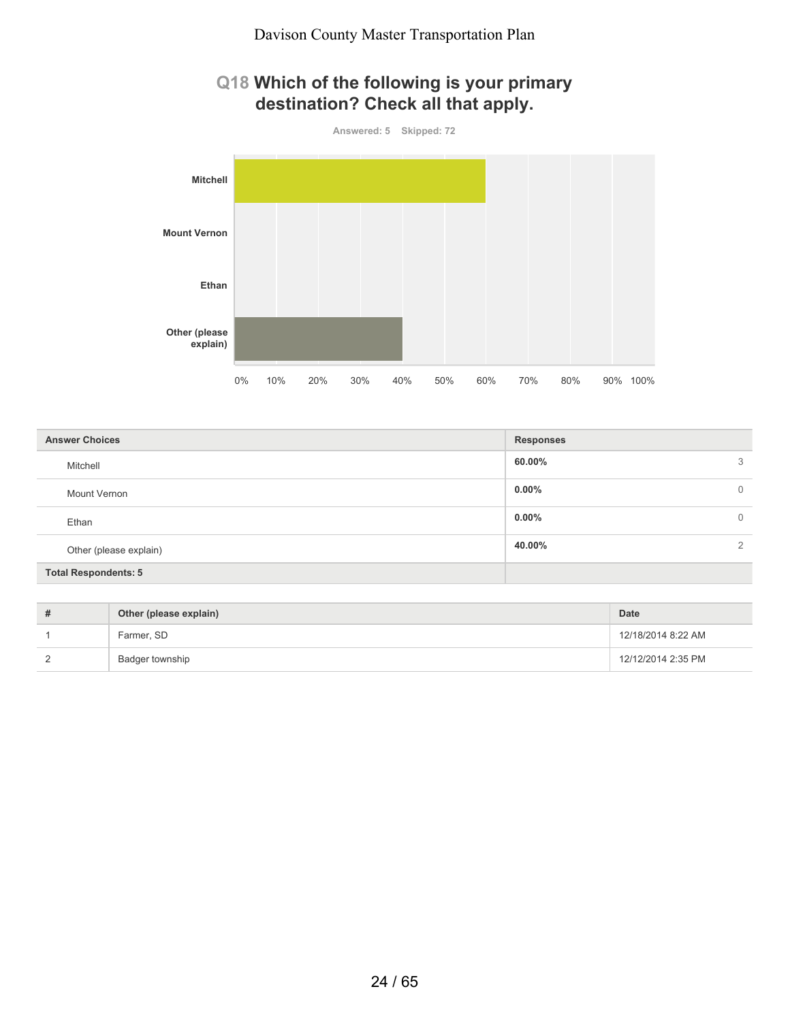## **Q18 Which of the following is your primary destination? Check all that apply.**



| <b>Answer Choices</b>       | <b>Responses</b> |               |
|-----------------------------|------------------|---------------|
| Mitchell                    | 60.00%           | 3             |
| Mount Vernon                | $0.00\%$         | $\mathbf 0$   |
| Ethan                       | $0.00\%$         | $\mathbf 0$   |
| Other (please explain)      | 40.00%           | $\mathcal{L}$ |
| <b>Total Respondents: 5</b> |                  |               |

| Other (please explain) | Date               |
|------------------------|--------------------|
| Farmer, SD             | 12/18/2014 8:22 AM |
| Badger township        | 12/12/2014 2:35 PM |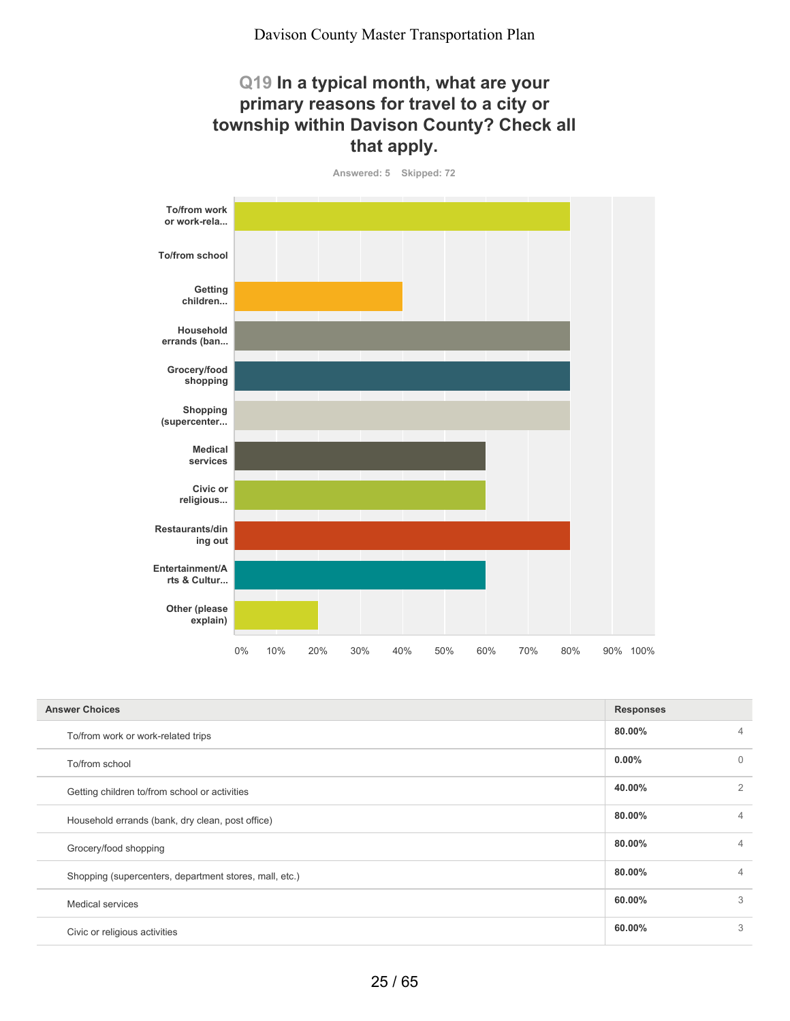## **Q19 In a typical month, what are your primary reasons for travel to a city or township within Davison County? Check all that apply.**

**Answered: 5 Skipped: 72**



| <b>Answer Choices</b>                                  | <b>Responses</b> |                |
|--------------------------------------------------------|------------------|----------------|
| To/from work or work-related trips                     | 80.00%           | 4              |
| To/from school                                         | $0.00\%$         | $\Omega$       |
| Getting children to/from school or activities          | 40.00%           | $\overline{2}$ |
| Household errands (bank, dry clean, post office)       | 80.00%           | 4              |
| Grocery/food shopping                                  | 80.00%           | $\overline{4}$ |
| Shopping (supercenters, department stores, mall, etc.) | 80.00%           | 4              |
| <b>Medical services</b>                                | 60.00%           | 3              |
| Civic or religious activities                          | 60.00%           | 3              |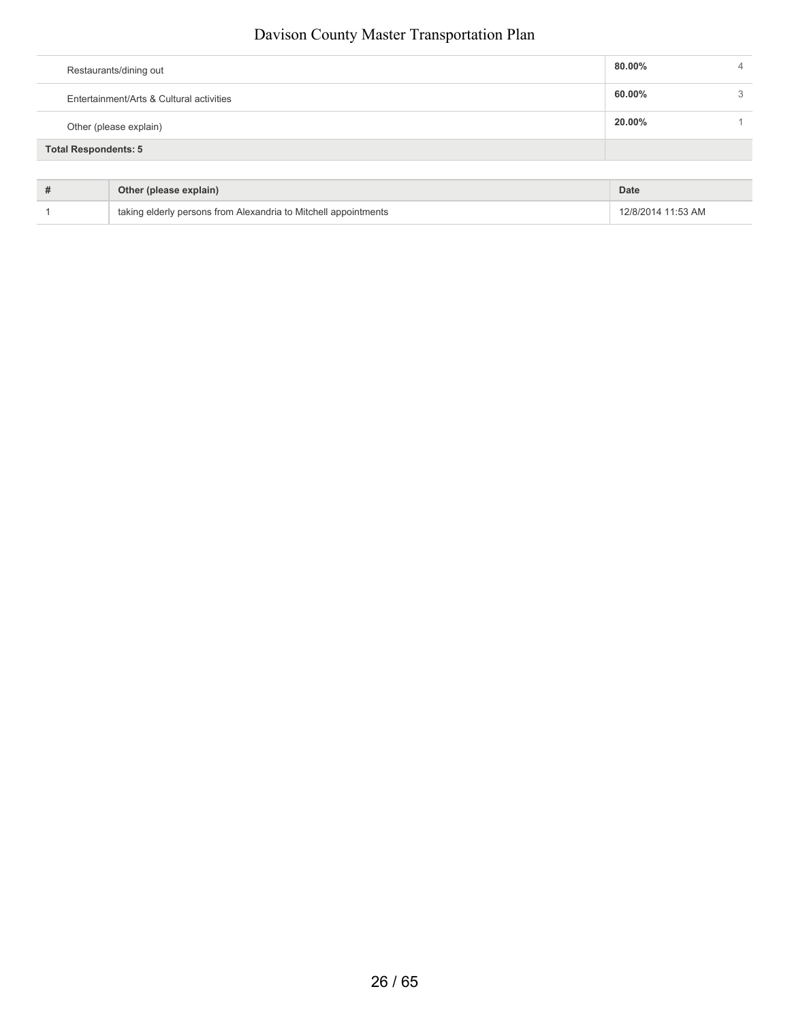| Entertainment/Arts & Cultural activities              | 60.00% | 3 |
|-------------------------------------------------------|--------|---|
| Other (please explain)<br><b>Total Respondents: 5</b> | 20.00% |   |

| Other (please explain)                                          | Date               |
|-----------------------------------------------------------------|--------------------|
| taking elderly persons from Alexandria to Mitchell appointments | 12/8/2014 11:53 AM |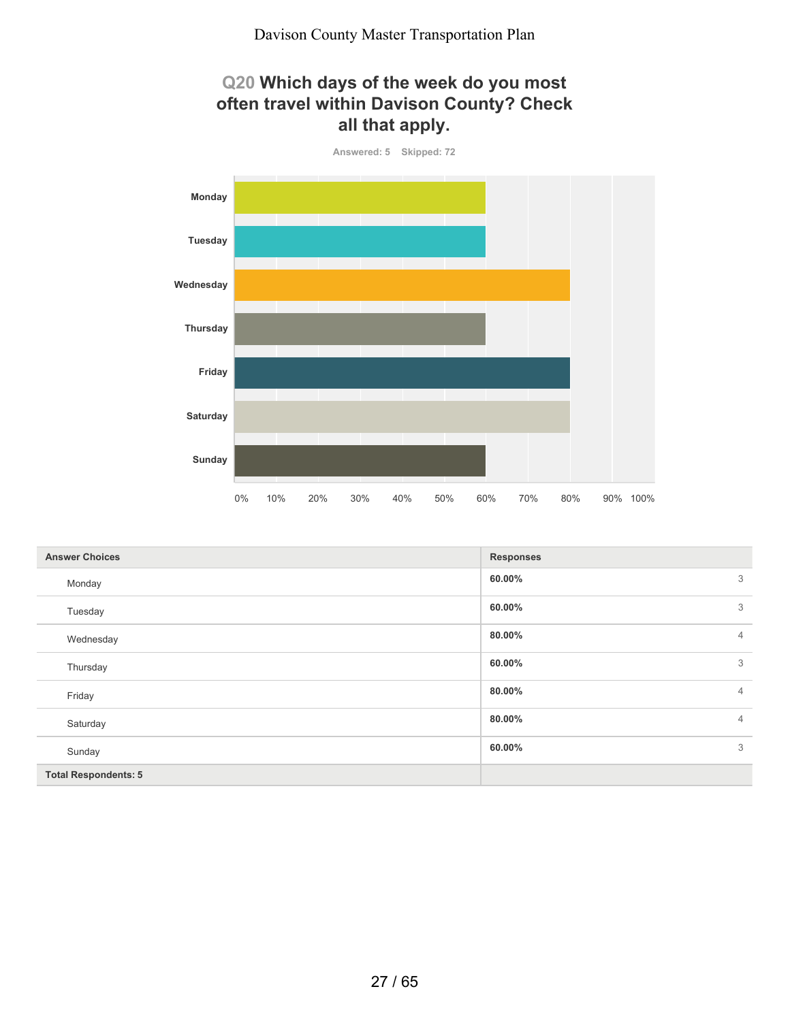## **Q20 Which days of the week do you most often travel within Davison County? Check all that apply.**



| <b>Answer Choices</b>       | <b>Responses</b>         |                |
|-----------------------------|--------------------------|----------------|
| Monday                      | 60.00%                   | 3              |
| Tuesday                     | 60.00%                   | 3              |
| Wednesday                   | 80.00%                   | $\overline{4}$ |
| Thursday                    | 60.00%                   | 3              |
| Friday                      | 80.00%                   | $\overline{4}$ |
| Saturday                    | 80.00%<br>$\overline{4}$ |                |
| Sunday                      | 60.00%                   | 3              |
| <b>Total Respondents: 5</b> |                          |                |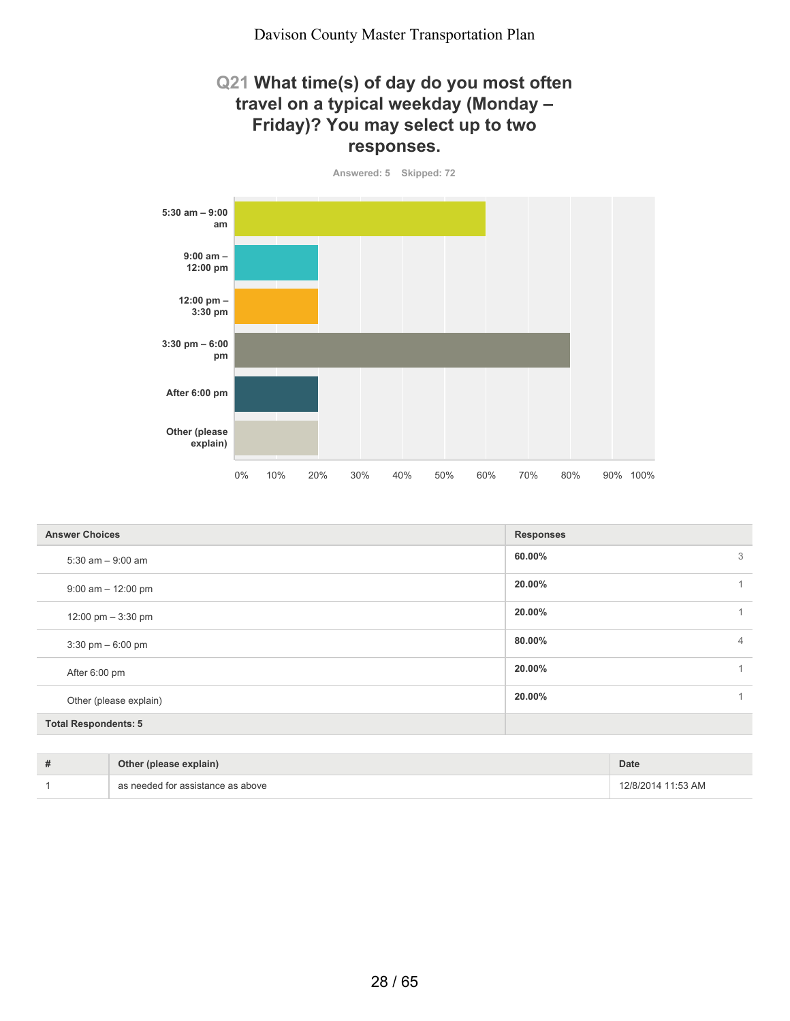#### **Q21 What time(s) of day do you most often travel on a typical weekday (Monday – Friday)? You may select up to two responses.**

**Answered: 5 Skipped: 72**



| <b>Answer Choices</b>       | <b>Responses</b>         |
|-----------------------------|--------------------------|
| $5:30$ am $-9:00$ am        | 3<br>60.00%              |
| $9:00$ am $-12:00$ pm       | 20.00%<br>1              |
| 12:00 pm $-3:30$ pm         | 20.00%<br>1.             |
| $3:30$ pm $-6:00$ pm        | 80.00%<br>$\overline{4}$ |
| After 6:00 pm               | 20.00%                   |
| Other (please explain)      | 20.00%                   |
| <b>Total Respondents: 5</b> |                          |

| Other (please explain)            | <b>Date</b>        |
|-----------------------------------|--------------------|
| as needed for assistance as above | 12/8/2014 11:53 AM |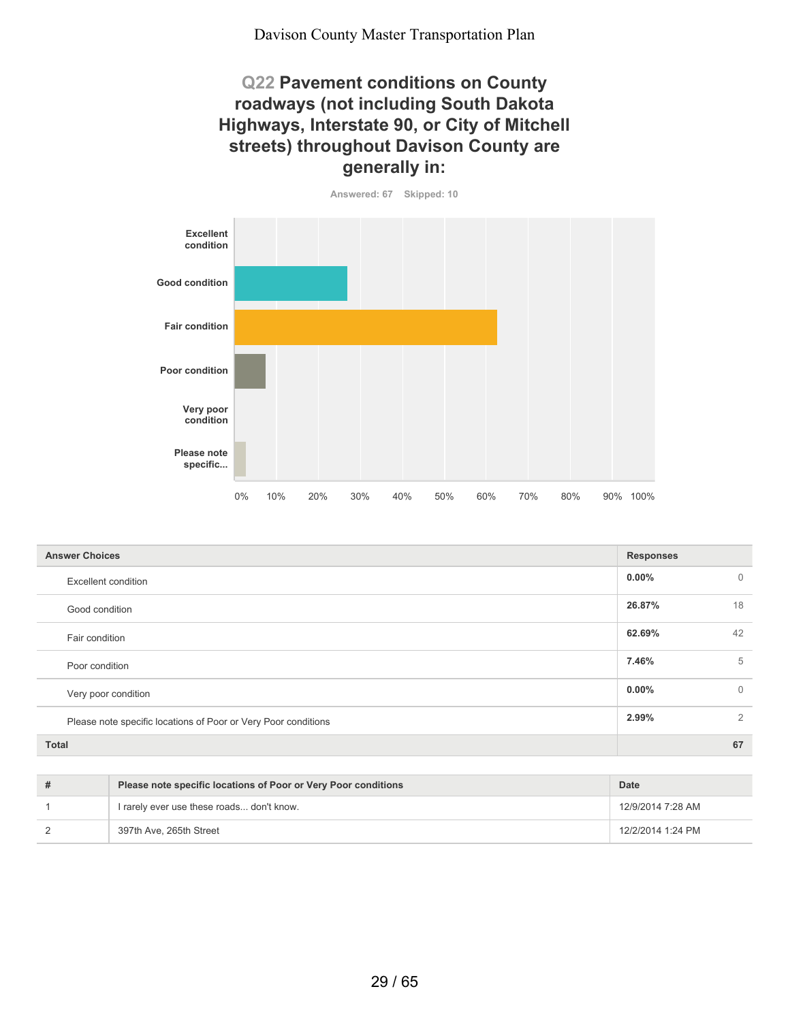## **Q22 Pavement conditions on County roadways (not including South Dakota Highways, Interstate 90, or City of Mitchell streets) throughout Davison County are generally in:**



| <b>Answer Choices</b>                                          | <b>Responses</b>         |
|----------------------------------------------------------------|--------------------------|
| <b>Excellent condition</b>                                     | $0.00\%$<br>$\mathbf{0}$ |
| Good condition                                                 | 26.87%<br>18             |
| Fair condition                                                 | 62.69%<br>42             |
| Poor condition                                                 | 7.46%<br>5               |
| Very poor condition                                            | $\mathbf{0}$<br>$0.00\%$ |
| Please note specific locations of Poor or Very Poor conditions | 2.99%<br>2               |
| <b>Total</b>                                                   | 67                       |

| Please note specific locations of Poor or Very Poor conditions | Date              |
|----------------------------------------------------------------|-------------------|
| I rarely ever use these roads don't know.                      | 12/9/2014 7:28 AM |
| 397th Ave, 265th Street                                        | 12/2/2014 1:24 PM |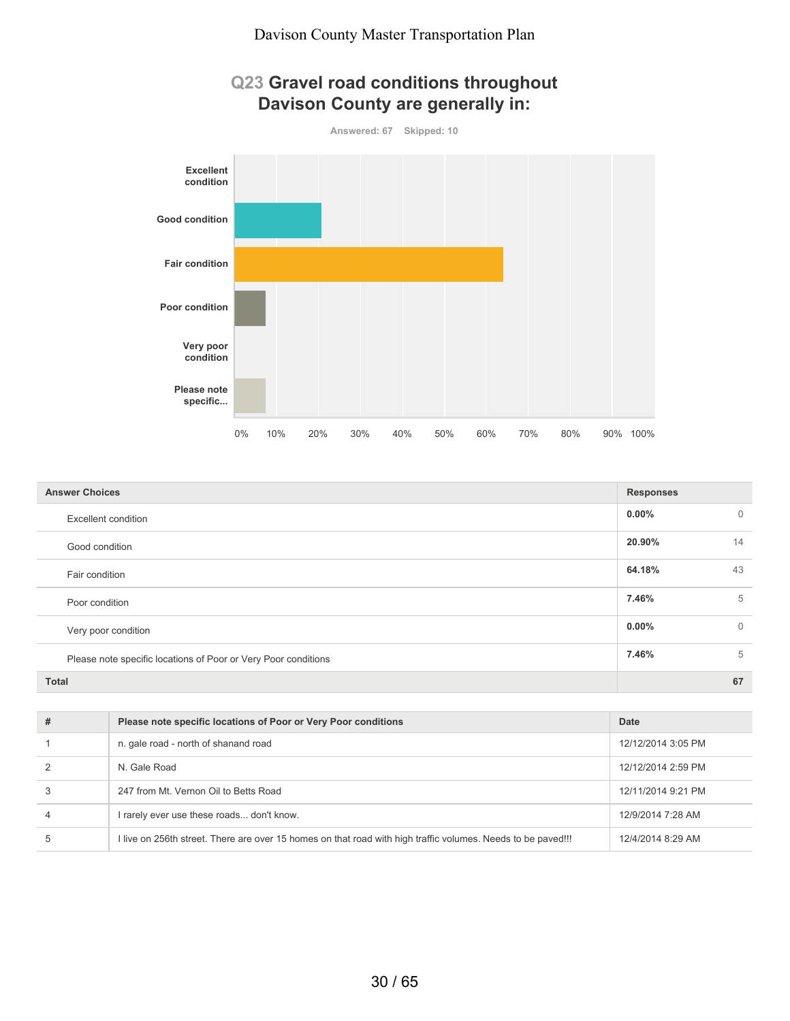



| <b>Answer Choices</b>                                          | <b>Responses</b> |             |
|----------------------------------------------------------------|------------------|-------------|
| <b>Excellent condition</b>                                     | $0.00\%$         | $\mathbf 0$ |
| Good condition                                                 | 20.90%           | 14          |
| Fair condition                                                 | 64.18%           | 43          |
| Poor condition                                                 | 7.46%            | 5           |
| Very poor condition                                            | $0.00\%$         | $\mathbf 0$ |
| Please note specific locations of Poor or Very Poor conditions | 7.46%            | 5           |
| <b>Total</b>                                                   |                  | 67          |

| # | Please note specific locations of Poor or Very Poor conditions                                               | Date               |
|---|--------------------------------------------------------------------------------------------------------------|--------------------|
|   | n. gale road - north of shanand road                                                                         | 12/12/2014 3:05 PM |
|   | N Gale Road                                                                                                  | 12/12/2014 2:59 PM |
|   | 247 from Mt. Vernon Oil to Betts Road                                                                        | 12/11/2014 9:21 PM |
|   | I rarely ever use these roads don't know.                                                                    | 12/9/2014 7:28 AM  |
| 5 | I live on 256th street. There are over 15 homes on that road with high traffic volumes. Needs to be paved!!! | 12/4/2014 8:29 AM  |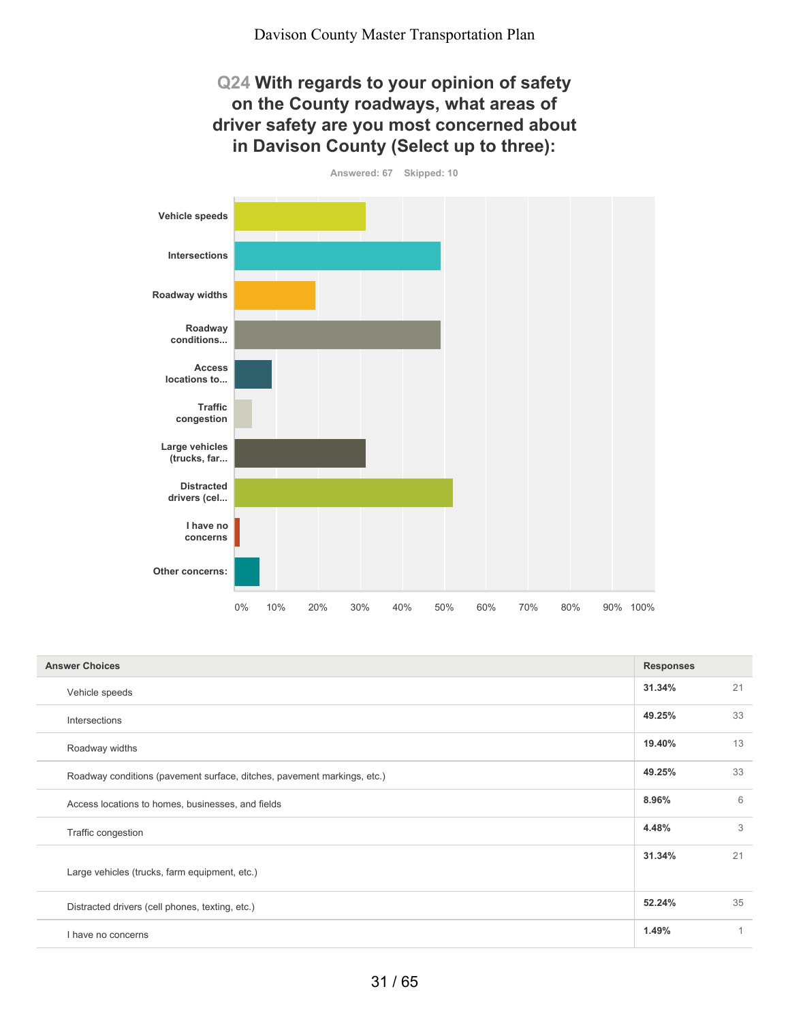## **Q24 With regards to your opinion of safety on the County roadways, what areas of driver safety are you most concerned about in Davison County (Select up to three):**

**Answered: 67 Skipped: 10 Vehicle speeds Intersections Roadway widths Roadway conditions... Access locations to... Traffic congestion Large vehicles (trucks, far... Distracted drivers (cel... I have no concerns Other concerns:** 0% 10% 20% 30% 40% 50% 60% 70% 80% 90% 100%

| <b>Answer Choices</b>                                                   |        |    |
|-------------------------------------------------------------------------|--------|----|
| Vehicle speeds                                                          | 31.34% | 21 |
| Intersections                                                           | 49.25% | 33 |
| Roadway widths                                                          | 19.40% | 13 |
| Roadway conditions (pavement surface, ditches, pavement markings, etc.) | 49.25% | 33 |
| Access locations to homes, businesses, and fields                       | 8.96%  | 6  |
| Traffic congestion                                                      | 4.48%  | 3  |
| Large vehicles (trucks, farm equipment, etc.)                           | 31.34% | 21 |
| Distracted drivers (cell phones, texting, etc.)                         | 52.24% | 35 |
| I have no concerns                                                      | 1.49%  | 1  |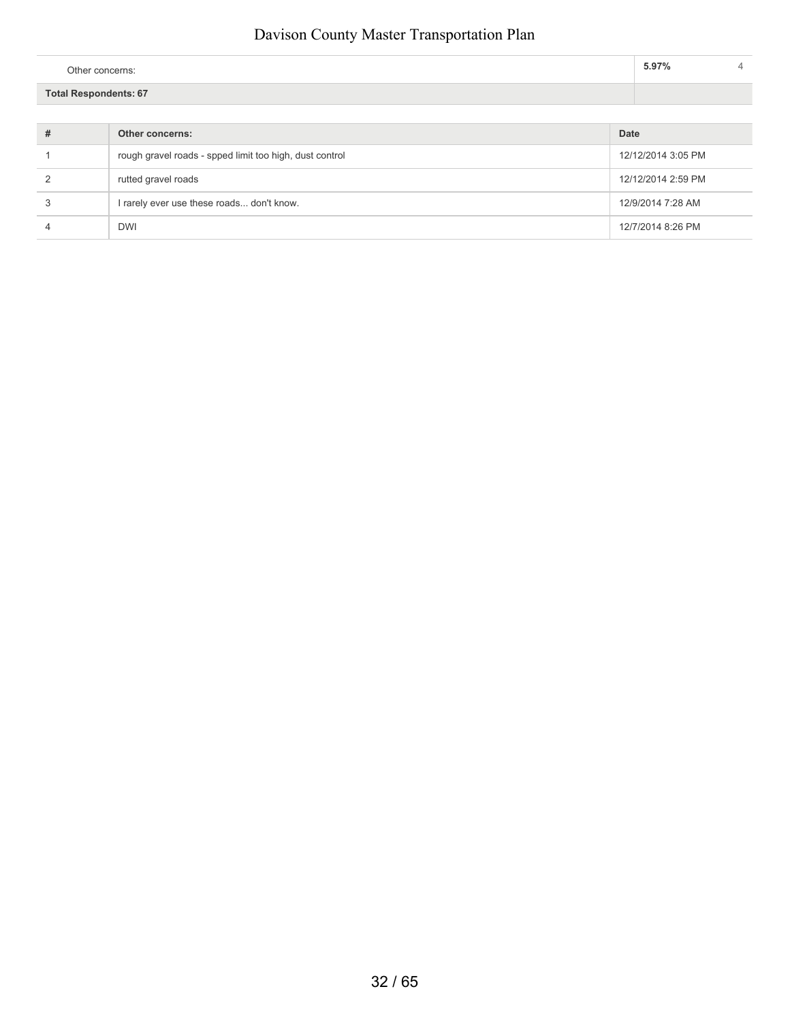| Other concerns:              | 5.97% |  |
|------------------------------|-------|--|
| <b>Total Respondents: 67</b> |       |  |

| # | Other concerns:                                         | Date               |
|---|---------------------------------------------------------|--------------------|
|   | rough gravel roads - spped limit too high, dust control | 12/12/2014 3:05 PM |
|   | rutted gravel roads                                     | 12/12/2014 2:59 PM |
|   | I rarely ever use these roads don't know.               | 12/9/2014 7:28 AM  |
|   | <b>DWI</b>                                              | 12/7/2014 8:26 PM  |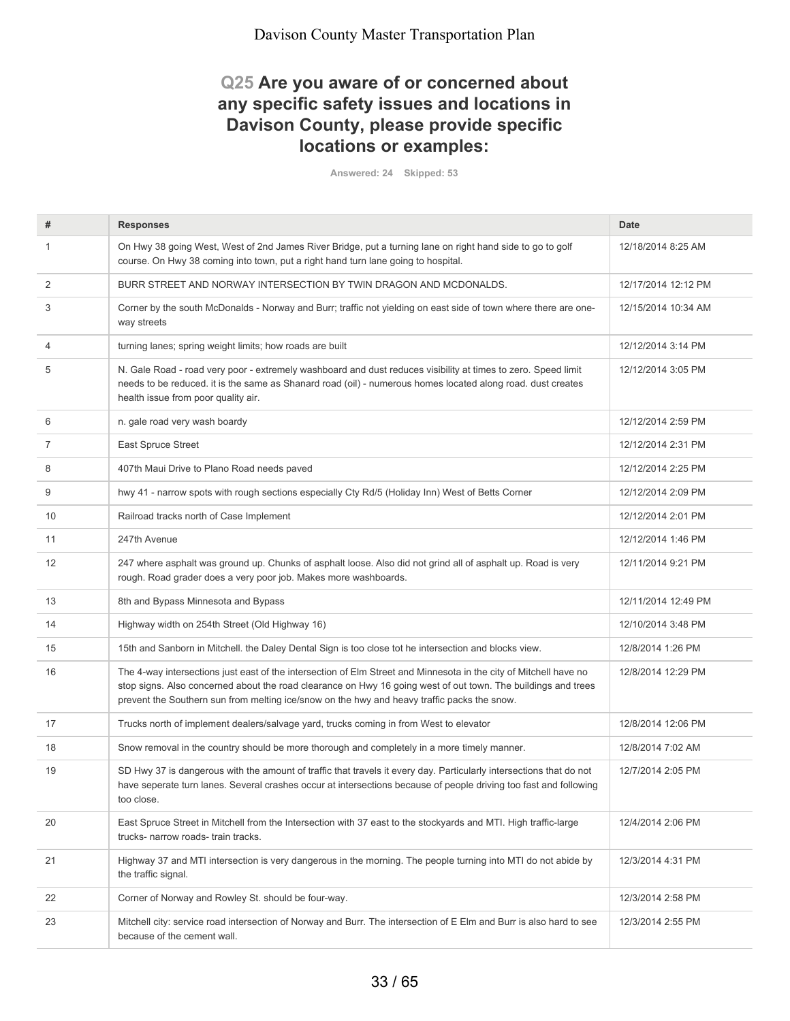## **Q25 Are you aware of or concerned about any specific safety issues and locations in Davison County, please provide specific locations or examples:**

**Answered: 24 Skipped: 53**

| #              | <b>Responses</b>                                                                                                                                                                                                                                                                                                                  | <b>Date</b>         |
|----------------|-----------------------------------------------------------------------------------------------------------------------------------------------------------------------------------------------------------------------------------------------------------------------------------------------------------------------------------|---------------------|
| -1             | On Hwy 38 going West, West of 2nd James River Bridge, put a turning lane on right hand side to go to golf<br>course. On Hwy 38 coming into town, put a right hand turn lane going to hospital.                                                                                                                                    | 12/18/2014 8:25 AM  |
| 2              | BURR STREET AND NORWAY INTERSECTION BY TWIN DRAGON AND MCDONALDS.                                                                                                                                                                                                                                                                 | 12/17/2014 12:12 PM |
| 3              | Corner by the south McDonalds - Norway and Burr; traffic not yielding on east side of town where there are one-<br>way streets                                                                                                                                                                                                    | 12/15/2014 10:34 AM |
| 4              | turning lanes; spring weight limits; how roads are built                                                                                                                                                                                                                                                                          | 12/12/2014 3:14 PM  |
| 5              | N. Gale Road - road very poor - extremely washboard and dust reduces visibility at times to zero. Speed limit<br>needs to be reduced. it is the same as Shanard road (oil) - numerous homes located along road. dust creates<br>health issue from poor quality air.                                                               | 12/12/2014 3:05 PM  |
| 6              | n. gale road very wash boardy                                                                                                                                                                                                                                                                                                     | 12/12/2014 2:59 PM  |
| $\overline{7}$ | East Spruce Street                                                                                                                                                                                                                                                                                                                | 12/12/2014 2:31 PM  |
| 8              | 407th Maui Drive to Plano Road needs paved                                                                                                                                                                                                                                                                                        | 12/12/2014 2:25 PM  |
| 9              | hwy 41 - narrow spots with rough sections especially Cty Rd/5 (Holiday Inn) West of Betts Corner                                                                                                                                                                                                                                  | 12/12/2014 2:09 PM  |
| 10             | Railroad tracks north of Case Implement                                                                                                                                                                                                                                                                                           | 12/12/2014 2:01 PM  |
| 11             | 247th Avenue                                                                                                                                                                                                                                                                                                                      | 12/12/2014 1:46 PM  |
| 12             | 247 where asphalt was ground up. Chunks of asphalt loose. Also did not grind all of asphalt up. Road is very<br>rough. Road grader does a very poor job. Makes more washboards.                                                                                                                                                   | 12/11/2014 9:21 PM  |
| 13             | 8th and Bypass Minnesota and Bypass                                                                                                                                                                                                                                                                                               | 12/11/2014 12:49 PM |
| 14             | Highway width on 254th Street (Old Highway 16)                                                                                                                                                                                                                                                                                    | 12/10/2014 3:48 PM  |
| 15             | 15th and Sanborn in Mitchell. the Daley Dental Sign is too close tot he intersection and blocks view.                                                                                                                                                                                                                             | 12/8/2014 1:26 PM   |
| 16             | The 4-way intersections just east of the intersection of Elm Street and Minnesota in the city of Mitchell have no<br>stop signs. Also concerned about the road clearance on Hwy 16 going west of out town. The buildings and trees<br>prevent the Southern sun from melting ice/snow on the hwy and heavy traffic packs the snow. | 12/8/2014 12:29 PM  |
| 17             | Trucks north of implement dealers/salvage yard, trucks coming in from West to elevator                                                                                                                                                                                                                                            | 12/8/2014 12:06 PM  |
| 18             | Snow removal in the country should be more thorough and completely in a more timely manner.                                                                                                                                                                                                                                       | 12/8/2014 7:02 AM   |
| 19             | SD Hwy 37 is dangerous with the amount of traffic that travels it every day. Particularly intersections that do not<br>have seperate turn lanes. Several crashes occur at intersections because of people driving too fast and following<br>too close.                                                                            | 12/7/2014 2:05 PM   |
| 20             | East Spruce Street in Mitchell from the Intersection with 37 east to the stockyards and MTI. High traffic-large<br>trucks- narrow roads- train tracks.                                                                                                                                                                            | 12/4/2014 2:06 PM   |
| 21             | Highway 37 and MTI intersection is very dangerous in the morning. The people turning into MTI do not abide by<br>the traffic signal.                                                                                                                                                                                              | 12/3/2014 4:31 PM   |
| 22             | Corner of Norway and Rowley St. should be four-way.                                                                                                                                                                                                                                                                               | 12/3/2014 2:58 PM   |
| 23             | Mitchell city: service road intersection of Norway and Burr. The intersection of E Elm and Burr is also hard to see<br>because of the cement wall.                                                                                                                                                                                | 12/3/2014 2:55 PM   |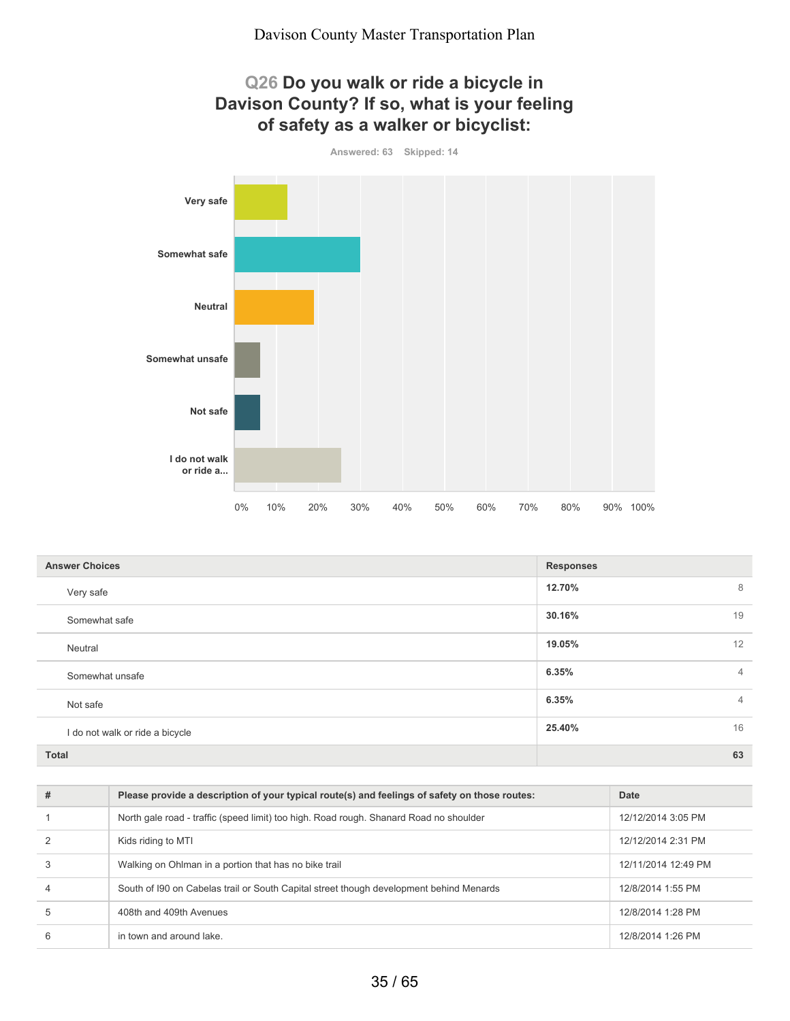## **Q26 Do you walk or ride a bicycle in Davison County? If so, what is your feeling of safety as a walker or bicyclist:**





| <b>Answer Choices</b>           | <b>Responses</b>        |
|---------------------------------|-------------------------|
| Very safe                       | 12.70%<br>8             |
| Somewhat safe                   | 19<br>30.16%            |
| Neutral                         | 19.05%<br>12            |
| Somewhat unsafe                 | 6.35%<br>$\overline{4}$ |
| Not safe                        | 6.35%<br>$\overline{4}$ |
| I do not walk or ride a bicycle | 16<br>25.40%            |
| <b>Total</b>                    | 63                      |

| # | Please provide a description of your typical route(s) and feelings of safety on those routes: | Date                |
|---|-----------------------------------------------------------------------------------------------|---------------------|
|   | North gale road - traffic (speed limit) too high. Road rough. Shanard Road no shoulder        | 12/12/2014 3:05 PM  |
|   | Kids riding to MTI                                                                            | 12/12/2014 2:31 PM  |
|   | Walking on Ohlman in a portion that has no bike trail                                         | 12/11/2014 12:49 PM |
| 4 | South of I90 on Cabelas trail or South Capital street though development behind Menards       | 12/8/2014 1:55 PM   |
| 5 | 408th and 409th Avenues                                                                       | 12/8/2014 1:28 PM   |
| 6 | in town and around lake.                                                                      | 12/8/2014 1:26 PM   |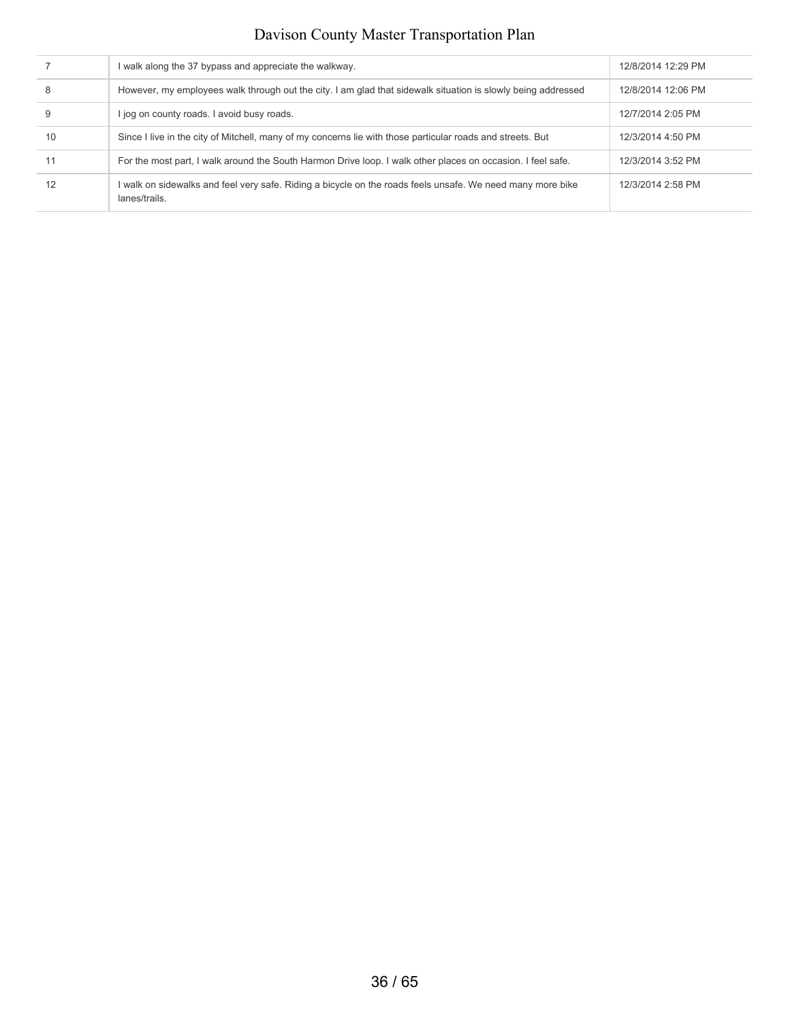|    | I walk along the 37 bypass and appreciate the walkway.                                                                      | 12/8/2014 12:29 PM |
|----|-----------------------------------------------------------------------------------------------------------------------------|--------------------|
|    | However, my employees walk through out the city. I am glad that sidewalk situation is slowly being addressed                | 12/8/2014 12:06 PM |
|    | l jog on county roads. I avoid busy roads.                                                                                  | 12/7/2014 2:05 PM  |
| 10 | Since I live in the city of Mitchell, many of my concerns lie with those particular roads and streets. But                  | 12/3/2014 4:50 PM  |
|    | For the most part, I walk around the South Harmon Drive loop. I walk other places on occasion. I feel safe.                 | 12/3/2014 3:52 PM  |
| 12 | I walk on sidewalks and feel very safe. Riding a bicycle on the roads feels unsafe. We need many more bike<br>lanes/trails. | 12/3/2014 2:58 PM  |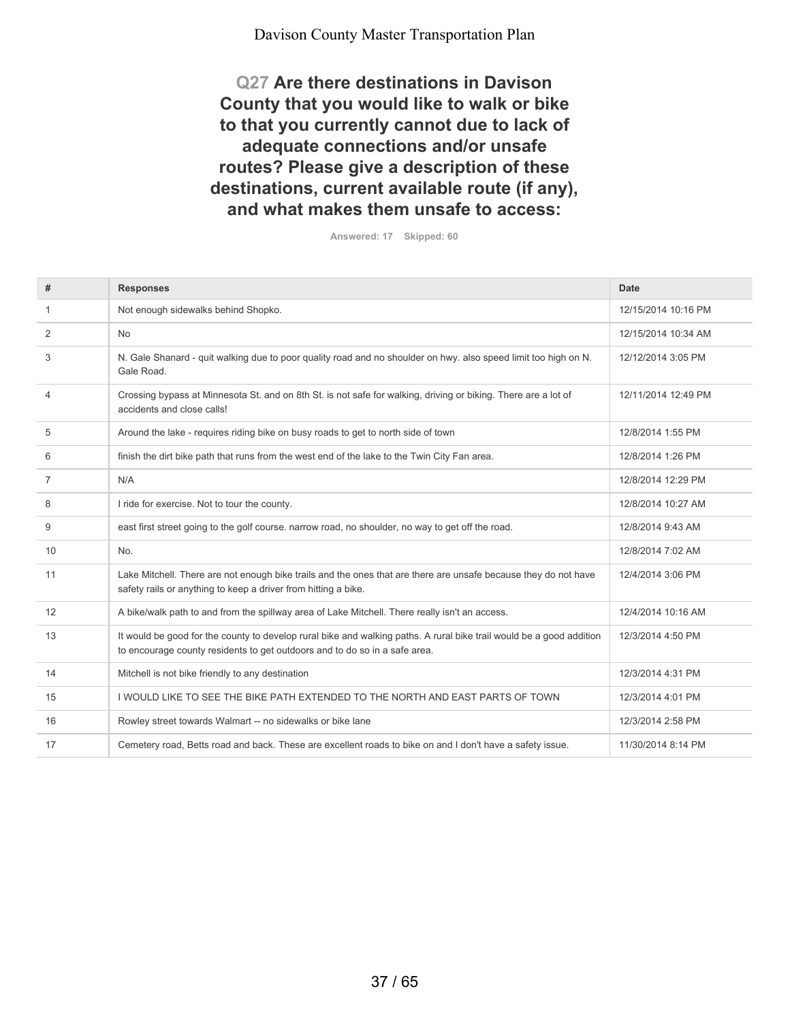**Q27 Are there destinations in Davison County that you would like to walk or bike to that you currently cannot due to lack of adequate connections and/or unsafe routes? Please give a description of these destinations, current available route (if any), and what makes them unsafe to access:**

**Answered: 17 Skipped: 60**

| #              | <b>Responses</b>                                                                                                                                                                                   | <b>Date</b>         |
|----------------|----------------------------------------------------------------------------------------------------------------------------------------------------------------------------------------------------|---------------------|
| 1              | Not enough sidewalks behind Shopko.                                                                                                                                                                | 12/15/2014 10:16 PM |
| $\overline{2}$ | <b>No</b>                                                                                                                                                                                          | 12/15/2014 10:34 AM |
| 3              | N. Gale Shanard - quit walking due to poor quality road and no shoulder on hwy. also speed limit too high on N.<br>Gale Road.                                                                      | 12/12/2014 3:05 PM  |
| $\overline{4}$ | Crossing bypass at Minnesota St. and on 8th St. is not safe for walking, driving or biking. There are a lot of<br>accidents and close calls!                                                       | 12/11/2014 12:49 PM |
| 5              | Around the lake - requires riding bike on busy roads to get to north side of town                                                                                                                  | 12/8/2014 1:55 PM   |
| 6              | finish the dirt bike path that runs from the west end of the lake to the Twin City Fan area.                                                                                                       | 12/8/2014 1:26 PM   |
| 7              | N/A                                                                                                                                                                                                | 12/8/2014 12:29 PM  |
| 8              | I ride for exercise. Not to tour the county.                                                                                                                                                       | 12/8/2014 10:27 AM  |
| 9              | east first street going to the golf course. narrow road, no shoulder, no way to get off the road.                                                                                                  | 12/8/2014 9:43 AM   |
| 10             | No.                                                                                                                                                                                                | 12/8/2014 7:02 AM   |
| 11             | Lake Mitchell. There are not enough bike trails and the ones that are there are unsafe because they do not have<br>safety rails or anything to keep a driver from hitting a bike.                  | 12/4/2014 3:06 PM   |
| 12             | A bike/walk path to and from the spillway area of Lake Mitchell. There really isn't an access.                                                                                                     | 12/4/2014 10:16 AM  |
| 13             | It would be good for the county to develop rural bike and walking paths. A rural bike trail would be a good addition<br>to encourage county residents to get outdoors and to do so in a safe area. | 12/3/2014 4:50 PM   |
| 14             | Mitchell is not bike friendly to any destination                                                                                                                                                   | 12/3/2014 4:31 PM   |
| 15             | I WOULD LIKE TO SEE THE BIKE PATH EXTENDED TO THE NORTH AND EAST PARTS OF TOWN                                                                                                                     | 12/3/2014 4:01 PM   |
| 16             | Rowley street towards Walmart -- no sidewalks or bike lane                                                                                                                                         | 12/3/2014 2:58 PM   |
| 17             | Cemetery road, Betts road and back. These are excellent roads to bike on and I don't have a safety issue.                                                                                          | 11/30/2014 8:14 PM  |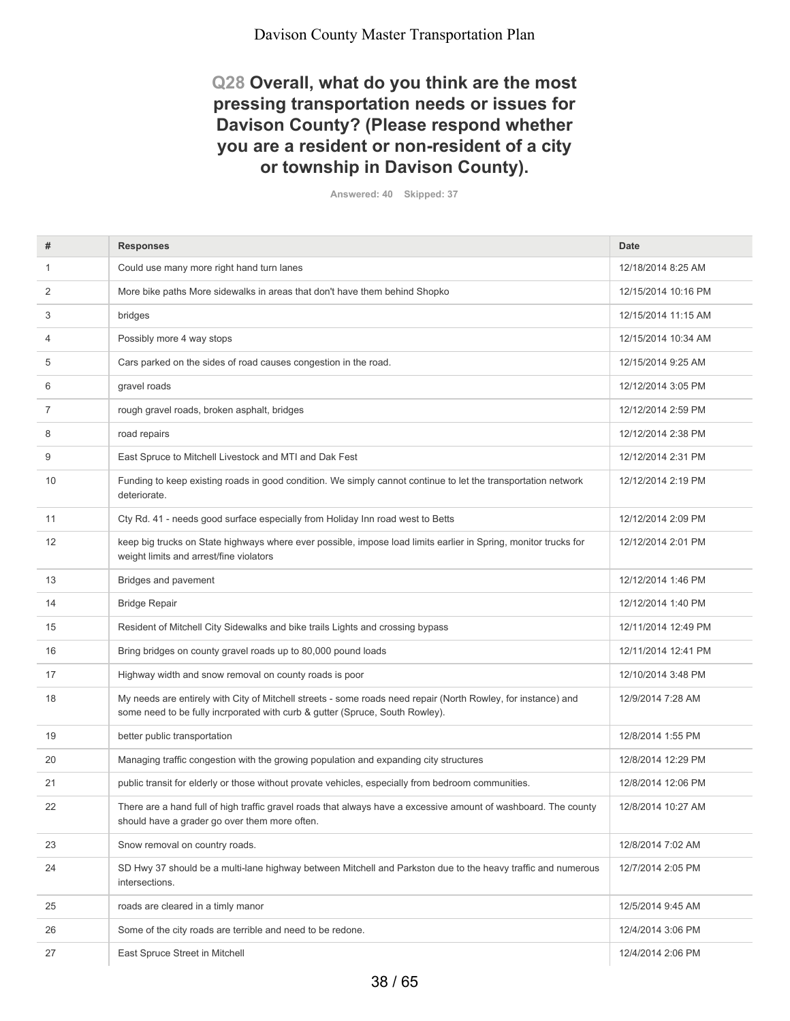## **Q28 Overall, what do you think are the most pressing transportation needs or issues for Davison County? (Please respond whether you are a resident or non-resident of a city or township in Davison County).**

**Answered: 40 Skipped: 37**

| #  | <b>Responses</b>                                                                                                                                                                              | <b>Date</b>         |
|----|-----------------------------------------------------------------------------------------------------------------------------------------------------------------------------------------------|---------------------|
| 1  | Could use many more right hand turn lanes                                                                                                                                                     | 12/18/2014 8:25 AM  |
| 2  | More bike paths More sidewalks in areas that don't have them behind Shopko                                                                                                                    | 12/15/2014 10:16 PM |
| 3  | bridges                                                                                                                                                                                       | 12/15/2014 11:15 AM |
| 4  | Possibly more 4 way stops                                                                                                                                                                     | 12/15/2014 10:34 AM |
| 5  | Cars parked on the sides of road causes congestion in the road.                                                                                                                               | 12/15/2014 9:25 AM  |
| 6  | gravel roads                                                                                                                                                                                  | 12/12/2014 3:05 PM  |
| 7  | rough gravel roads, broken asphalt, bridges                                                                                                                                                   | 12/12/2014 2:59 PM  |
| 8  | road repairs                                                                                                                                                                                  | 12/12/2014 2:38 PM  |
| 9  | East Spruce to Mitchell Livestock and MTI and Dak Fest                                                                                                                                        | 12/12/2014 2:31 PM  |
| 10 | Funding to keep existing roads in good condition. We simply cannot continue to let the transportation network<br>deteriorate.                                                                 | 12/12/2014 2:19 PM  |
| 11 | Cty Rd. 41 - needs good surface especially from Holiday Inn road west to Betts                                                                                                                | 12/12/2014 2:09 PM  |
| 12 | keep big trucks on State highways where ever possible, impose load limits earlier in Spring, monitor trucks for<br>weight limits and arrest/fine violators                                    | 12/12/2014 2:01 PM  |
| 13 | Bridges and pavement                                                                                                                                                                          | 12/12/2014 1:46 PM  |
| 14 | <b>Bridge Repair</b>                                                                                                                                                                          | 12/12/2014 1:40 PM  |
| 15 | Resident of Mitchell City Sidewalks and bike trails Lights and crossing bypass                                                                                                                | 12/11/2014 12:49 PM |
| 16 | Bring bridges on county gravel roads up to 80,000 pound loads                                                                                                                                 | 12/11/2014 12:41 PM |
| 17 | Highway width and snow removal on county roads is poor                                                                                                                                        | 12/10/2014 3:48 PM  |
| 18 | My needs are entirely with City of Mitchell streets - some roads need repair (North Rowley, for instance) and<br>some need to be fully incrporated with curb & gutter (Spruce, South Rowley). | 12/9/2014 7:28 AM   |
| 19 | better public transportation                                                                                                                                                                  | 12/8/2014 1:55 PM   |
| 20 | Managing traffic congestion with the growing population and expanding city structures                                                                                                         | 12/8/2014 12:29 PM  |
| 21 | public transit for elderly or those without provate vehicles, especially from bedroom communities.                                                                                            | 12/8/2014 12:06 PM  |
| 22 | There are a hand full of high traffic gravel roads that always have a excessive amount of washboard. The county<br>should have a grader go over them more often.                              | 12/8/2014 10:27 AM  |
| 23 | Snow removal on country roads.                                                                                                                                                                | 12/8/2014 7:02 AM   |
| 24 | SD Hwy 37 should be a multi-lane highway between Mitchell and Parkston due to the heavy traffic and numerous<br>intersections.                                                                | 12/7/2014 2:05 PM   |
| 25 | roads are cleared in a timly manor                                                                                                                                                            | 12/5/2014 9:45 AM   |
| 26 | Some of the city roads are terrible and need to be redone.                                                                                                                                    | 12/4/2014 3:06 PM   |
| 27 | East Spruce Street in Mitchell                                                                                                                                                                | 12/4/2014 2:06 PM   |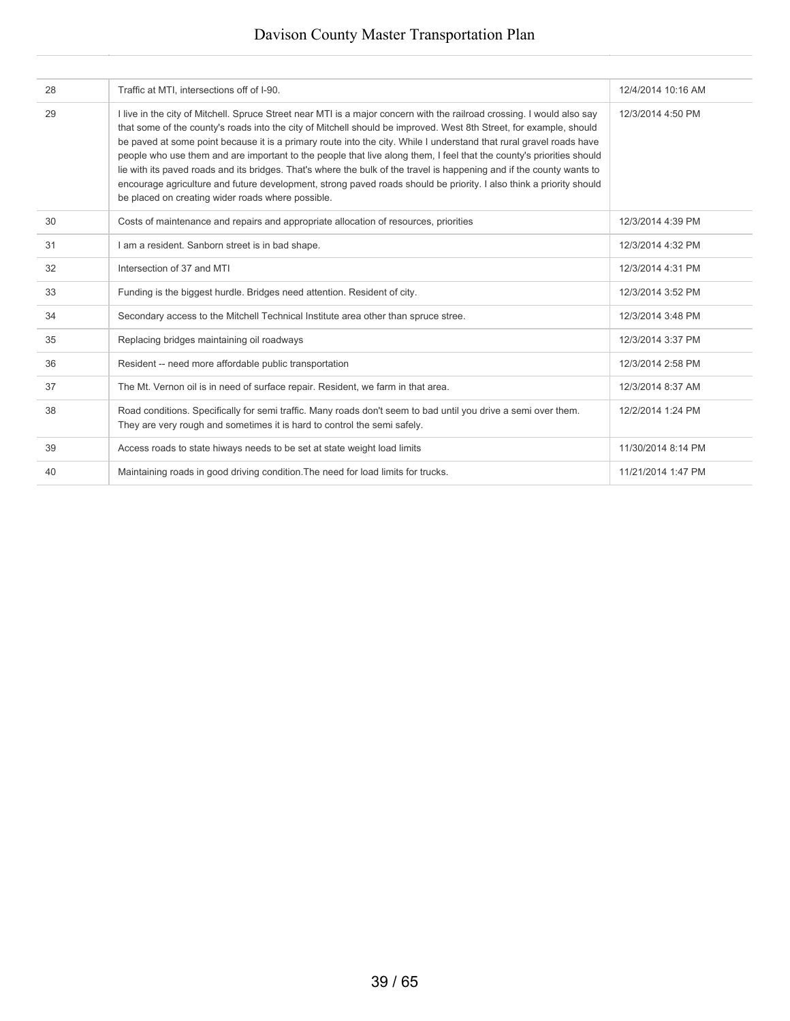| 28 | Traffic at MTI, intersections off of I-90.                                                                                                                                                                                                                                                                                                                                                                                                                                                                                                                                                                                                                                                                                                                                                       | 12/4/2014 10:16 AM |
|----|--------------------------------------------------------------------------------------------------------------------------------------------------------------------------------------------------------------------------------------------------------------------------------------------------------------------------------------------------------------------------------------------------------------------------------------------------------------------------------------------------------------------------------------------------------------------------------------------------------------------------------------------------------------------------------------------------------------------------------------------------------------------------------------------------|--------------------|
| 29 | I live in the city of Mitchell. Spruce Street near MTI is a major concern with the railroad crossing. I would also say<br>that some of the county's roads into the city of Mitchell should be improved. West 8th Street, for example, should<br>be paved at some point because it is a primary route into the city. While I understand that rural gravel roads have<br>people who use them and are important to the people that live along them, I feel that the county's priorities should<br>lie with its payed roads and its bridges. That's where the bulk of the travel is happening and if the county wants to<br>encourage agriculture and future development, strong paved roads should be priority. I also think a priority should<br>be placed on creating wider roads where possible. | 12/3/2014 4:50 PM  |
| 30 | Costs of maintenance and repairs and appropriate allocation of resources, priorities                                                                                                                                                                                                                                                                                                                                                                                                                                                                                                                                                                                                                                                                                                             | 12/3/2014 4:39 PM  |
| 31 | I am a resident. Sanborn street is in bad shape.                                                                                                                                                                                                                                                                                                                                                                                                                                                                                                                                                                                                                                                                                                                                                 | 12/3/2014 4:32 PM  |
| 32 | Intersection of 37 and MTI                                                                                                                                                                                                                                                                                                                                                                                                                                                                                                                                                                                                                                                                                                                                                                       | 12/3/2014 4:31 PM  |
| 33 | Funding is the biggest hurdle. Bridges need attention. Resident of city.                                                                                                                                                                                                                                                                                                                                                                                                                                                                                                                                                                                                                                                                                                                         | 12/3/2014 3:52 PM  |
| 34 | Secondary access to the Mitchell Technical Institute area other than spruce stree.                                                                                                                                                                                                                                                                                                                                                                                                                                                                                                                                                                                                                                                                                                               | 12/3/2014 3:48 PM  |
| 35 | Replacing bridges maintaining oil roadways                                                                                                                                                                                                                                                                                                                                                                                                                                                                                                                                                                                                                                                                                                                                                       | 12/3/2014 3:37 PM  |
| 36 | Resident -- need more affordable public transportation                                                                                                                                                                                                                                                                                                                                                                                                                                                                                                                                                                                                                                                                                                                                           | 12/3/2014 2:58 PM  |
| 37 | The Mt. Vernon oil is in need of surface repair. Resident, we farm in that area.                                                                                                                                                                                                                                                                                                                                                                                                                                                                                                                                                                                                                                                                                                                 | 12/3/2014 8:37 AM  |
| 38 | Road conditions. Specifically for semi traffic. Many roads don't seem to bad until you drive a semi over them.<br>They are very rough and sometimes it is hard to control the semi safely.                                                                                                                                                                                                                                                                                                                                                                                                                                                                                                                                                                                                       | 12/2/2014 1:24 PM  |
| 39 | Access roads to state hiways needs to be set at state weight load limits                                                                                                                                                                                                                                                                                                                                                                                                                                                                                                                                                                                                                                                                                                                         | 11/30/2014 8:14 PM |
| 40 | Maintaining roads in good driving condition. The need for load limits for trucks.                                                                                                                                                                                                                                                                                                                                                                                                                                                                                                                                                                                                                                                                                                                | 11/21/2014 1:47 PM |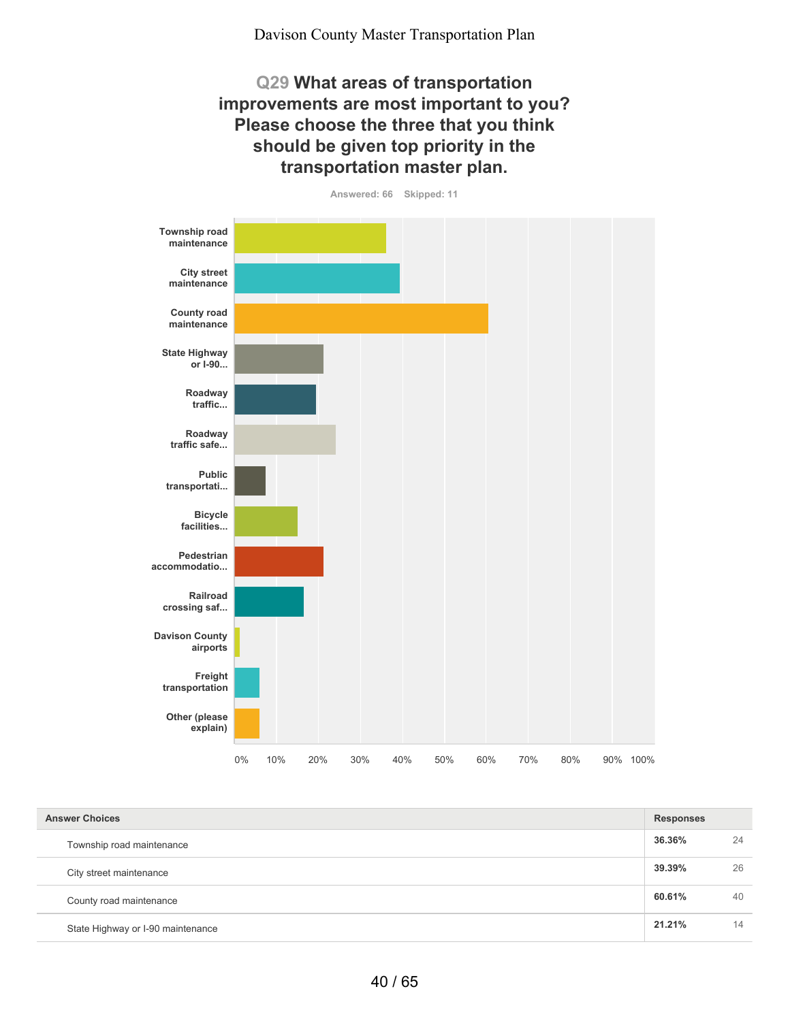## **Q29 What areas of transportation improvements are most important to you? Please choose the three that you think should be given top priority in the transportation master plan.**



**Answered: 66 Skipped: 11**

| <b>Answer Choices</b>             |        | <b>Responses</b> |  |
|-----------------------------------|--------|------------------|--|
| Township road maintenance         | 36.36% | 24               |  |
| City street maintenance           | 39.39% | 26               |  |
| County road maintenance           | 60.61% | 40               |  |
| State Highway or I-90 maintenance | 21.21% | 14               |  |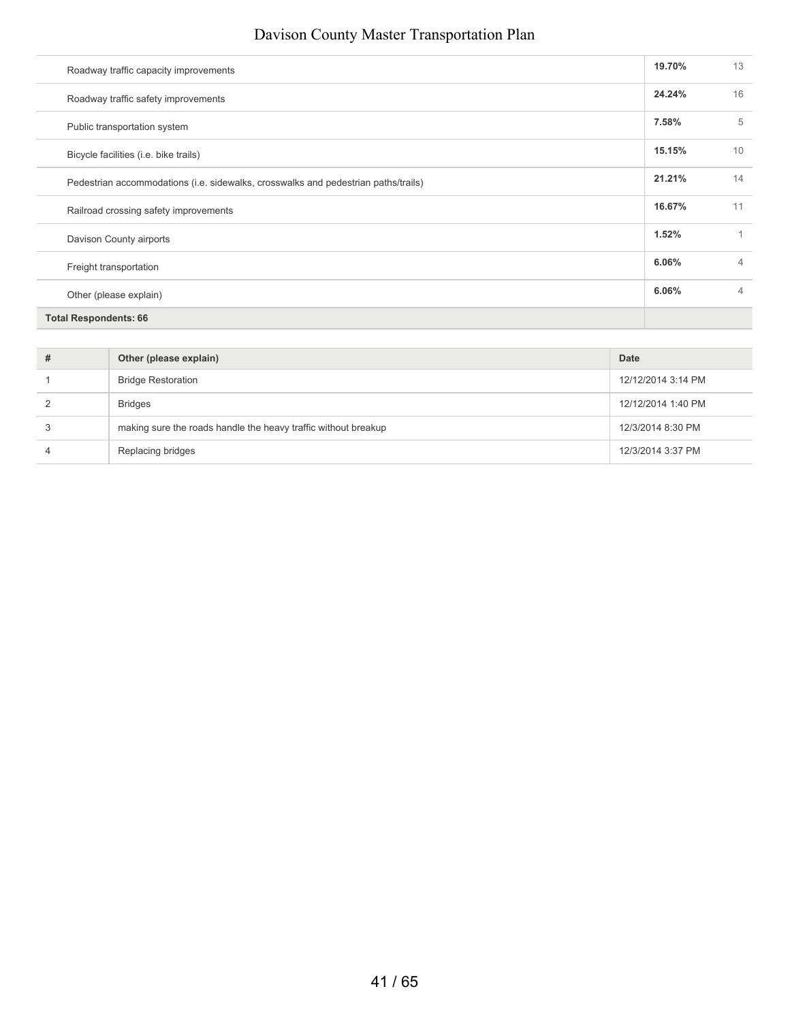| Roadway traffic capacity improvements                                              | 19.70% | 13             |
|------------------------------------------------------------------------------------|--------|----------------|
| Roadway traffic safety improvements                                                | 24.24% | 16             |
| Public transportation system                                                       | 7.58%  | 5              |
| Bicycle facilities (i.e. bike trails)                                              | 15.15% | 10             |
| Pedestrian accommodations (i.e. sidewalks, crosswalks and pedestrian paths/trails) | 21.21% | 14             |
| Railroad crossing safety improvements                                              | 16.67% | 11             |
| Davison County airports                                                            | 1.52%  |                |
| Freight transportation                                                             | 6.06%  | $\overline{4}$ |
| Other (please explain)                                                             | 6.06%  | $\overline{4}$ |
| <b>Total Respondents: 66</b>                                                       |        |                |
|                                                                                    |        |                |

| # | Other (please explain)                                         | Date               |
|---|----------------------------------------------------------------|--------------------|
|   | <b>Bridge Restoration</b>                                      | 12/12/2014 3:14 PM |
|   | <b>Bridges</b>                                                 | 12/12/2014 1:40 PM |
|   | making sure the roads handle the heavy traffic without breakup | 12/3/2014 8:30 PM  |
|   | Replacing bridges                                              | 12/3/2014 3:37 PM  |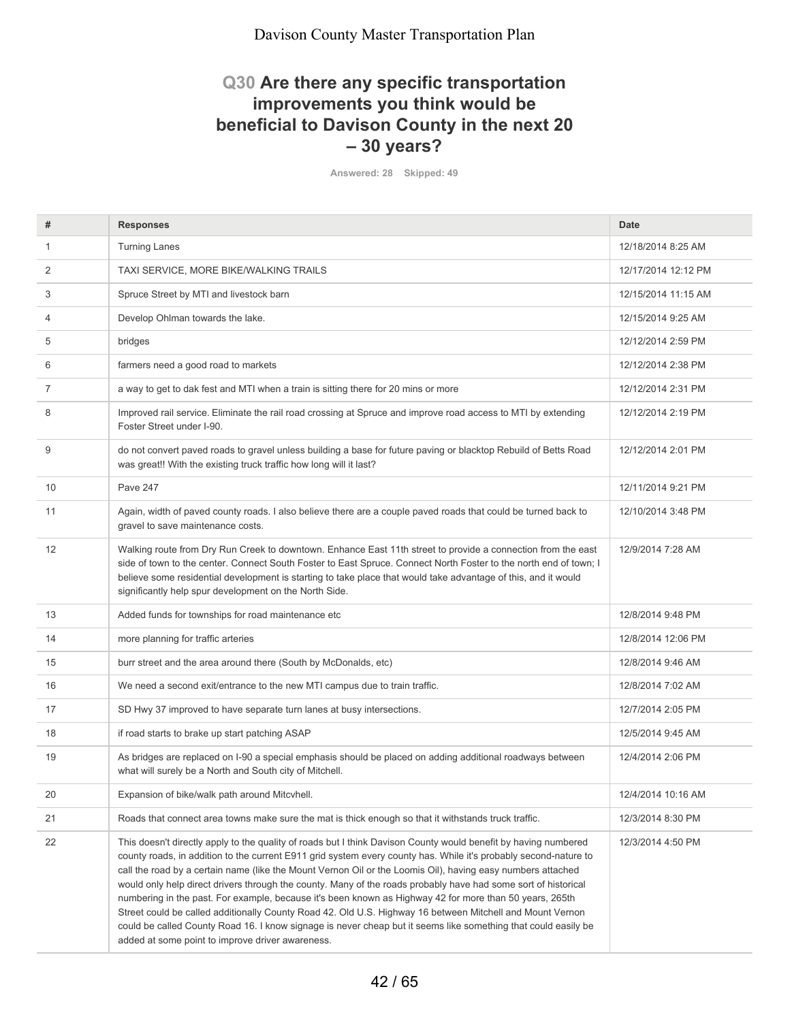## **Q30 Are there any specific transportation improvements you think would be beneficial to Davison County in the next 20 – 30 years?**

**Answered: 28 Skipped: 49**

| #  | <b>Responses</b>                                                                                                                                                                                                                                                                                                                                                                                                                                                                                                                                                                                                                                                                                                                                                                                                                                                   | <b>Date</b>         |
|----|--------------------------------------------------------------------------------------------------------------------------------------------------------------------------------------------------------------------------------------------------------------------------------------------------------------------------------------------------------------------------------------------------------------------------------------------------------------------------------------------------------------------------------------------------------------------------------------------------------------------------------------------------------------------------------------------------------------------------------------------------------------------------------------------------------------------------------------------------------------------|---------------------|
| 1  | <b>Turning Lanes</b>                                                                                                                                                                                                                                                                                                                                                                                                                                                                                                                                                                                                                                                                                                                                                                                                                                               | 12/18/2014 8:25 AM  |
| 2  | TAXI SERVICE, MORE BIKE/WALKING TRAILS                                                                                                                                                                                                                                                                                                                                                                                                                                                                                                                                                                                                                                                                                                                                                                                                                             | 12/17/2014 12:12 PM |
| 3  | Spruce Street by MTI and livestock barn                                                                                                                                                                                                                                                                                                                                                                                                                                                                                                                                                                                                                                                                                                                                                                                                                            | 12/15/2014 11:15 AM |
| 4  | Develop Ohlman towards the lake.                                                                                                                                                                                                                                                                                                                                                                                                                                                                                                                                                                                                                                                                                                                                                                                                                                   | 12/15/2014 9:25 AM  |
| 5  | bridges                                                                                                                                                                                                                                                                                                                                                                                                                                                                                                                                                                                                                                                                                                                                                                                                                                                            | 12/12/2014 2:59 PM  |
| 6  | farmers need a good road to markets                                                                                                                                                                                                                                                                                                                                                                                                                                                                                                                                                                                                                                                                                                                                                                                                                                | 12/12/2014 2:38 PM  |
| 7  | a way to get to dak fest and MTI when a train is sitting there for 20 mins or more                                                                                                                                                                                                                                                                                                                                                                                                                                                                                                                                                                                                                                                                                                                                                                                 | 12/12/2014 2:31 PM  |
| 8  | Improved rail service. Eliminate the rail road crossing at Spruce and improve road access to MTI by extending<br>Foster Street under I-90.                                                                                                                                                                                                                                                                                                                                                                                                                                                                                                                                                                                                                                                                                                                         | 12/12/2014 2:19 PM  |
| 9  | do not convert paved roads to gravel unless building a base for future paving or blacktop Rebuild of Betts Road<br>was great!! With the existing truck traffic how long will it last?                                                                                                                                                                                                                                                                                                                                                                                                                                                                                                                                                                                                                                                                              | 12/12/2014 2:01 PM  |
| 10 | Pave 247                                                                                                                                                                                                                                                                                                                                                                                                                                                                                                                                                                                                                                                                                                                                                                                                                                                           | 12/11/2014 9:21 PM  |
| 11 | Again, width of paved county roads. I also believe there are a couple paved roads that could be turned back to<br>gravel to save maintenance costs.                                                                                                                                                                                                                                                                                                                                                                                                                                                                                                                                                                                                                                                                                                                | 12/10/2014 3:48 PM  |
| 12 | Walking route from Dry Run Creek to downtown. Enhance East 11th street to provide a connection from the east<br>side of town to the center. Connect South Foster to East Spruce. Connect North Foster to the north end of town; I<br>believe some residential development is starting to take place that would take advantage of this, and it would<br>significantly help spur development on the North Side.                                                                                                                                                                                                                                                                                                                                                                                                                                                      | 12/9/2014 7:28 AM   |
| 13 | Added funds for townships for road maintenance etc                                                                                                                                                                                                                                                                                                                                                                                                                                                                                                                                                                                                                                                                                                                                                                                                                 | 12/8/2014 9:48 PM   |
| 14 | more planning for traffic arteries                                                                                                                                                                                                                                                                                                                                                                                                                                                                                                                                                                                                                                                                                                                                                                                                                                 | 12/8/2014 12:06 PM  |
| 15 | burr street and the area around there (South by McDonalds, etc)                                                                                                                                                                                                                                                                                                                                                                                                                                                                                                                                                                                                                                                                                                                                                                                                    | 12/8/2014 9:46 AM   |
| 16 | We need a second exit/entrance to the new MTI campus due to train traffic.                                                                                                                                                                                                                                                                                                                                                                                                                                                                                                                                                                                                                                                                                                                                                                                         | 12/8/2014 7:02 AM   |
| 17 | SD Hwy 37 improved to have separate turn lanes at busy intersections.                                                                                                                                                                                                                                                                                                                                                                                                                                                                                                                                                                                                                                                                                                                                                                                              | 12/7/2014 2:05 PM   |
| 18 | if road starts to brake up start patching ASAP                                                                                                                                                                                                                                                                                                                                                                                                                                                                                                                                                                                                                                                                                                                                                                                                                     | 12/5/2014 9:45 AM   |
| 19 | As bridges are replaced on I-90 a special emphasis should be placed on adding additional roadways between<br>what will surely be a North and South city of Mitchell.                                                                                                                                                                                                                                                                                                                                                                                                                                                                                                                                                                                                                                                                                               | 12/4/2014 2:06 PM   |
| 20 | Expansion of bike/walk path around Mitcyhell.                                                                                                                                                                                                                                                                                                                                                                                                                                                                                                                                                                                                                                                                                                                                                                                                                      | 12/4/2014 10:16 AM  |
| 21 | Roads that connect area towns make sure the mat is thick enough so that it withstands truck traffic.                                                                                                                                                                                                                                                                                                                                                                                                                                                                                                                                                                                                                                                                                                                                                               | 12/3/2014 8:30 PM   |
| 22 | This doesn't directly apply to the quality of roads but I think Davison County would benefit by having numbered<br>county roads, in addition to the current E911 grid system every county has. While it's probably second-nature to<br>call the road by a certain name (like the Mount Vernon Oil or the Loomis Oil), having easy numbers attached<br>would only help direct drivers through the county. Many of the roads probably have had some sort of historical<br>numbering in the past. For example, because it's been known as Highway 42 for more than 50 years, 265th<br>Street could be called additionally County Road 42. Old U.S. Highway 16 between Mitchell and Mount Vernon<br>could be called County Road 16. I know signage is never cheap but it seems like something that could easily be<br>added at some point to improve driver awareness. | 12/3/2014 4:50 PM   |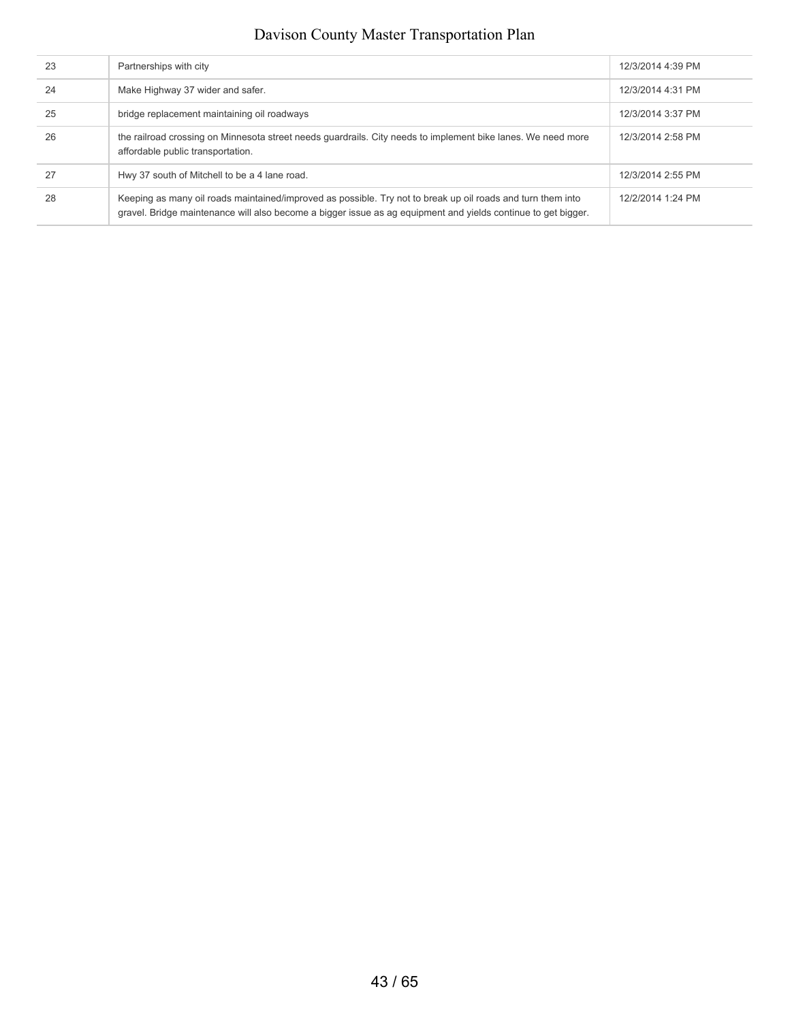| 23 | Partnerships with city                                                                                                                                                                                                       | 12/3/2014 4:39 PM |
|----|------------------------------------------------------------------------------------------------------------------------------------------------------------------------------------------------------------------------------|-------------------|
| 24 | Make Highway 37 wider and safer.                                                                                                                                                                                             | 12/3/2014 4:31 PM |
| 25 | bridge replacement maintaining oil roadways                                                                                                                                                                                  | 12/3/2014 3:37 PM |
| 26 | the railroad crossing on Minnesota street needs quardrails. City needs to implement bike lanes. We need more<br>affordable public transportation.                                                                            | 12/3/2014 2:58 PM |
| 27 | Hwy 37 south of Mitchell to be a 4 lane road.                                                                                                                                                                                | 12/3/2014 2:55 PM |
| 28 | Keeping as many oil roads maintained/improved as possible. Try not to break up oil roads and turn them into<br>gravel. Bridge maintenance will also become a bigger issue as ag equipment and yields continue to get bigger. | 12/2/2014 1:24 PM |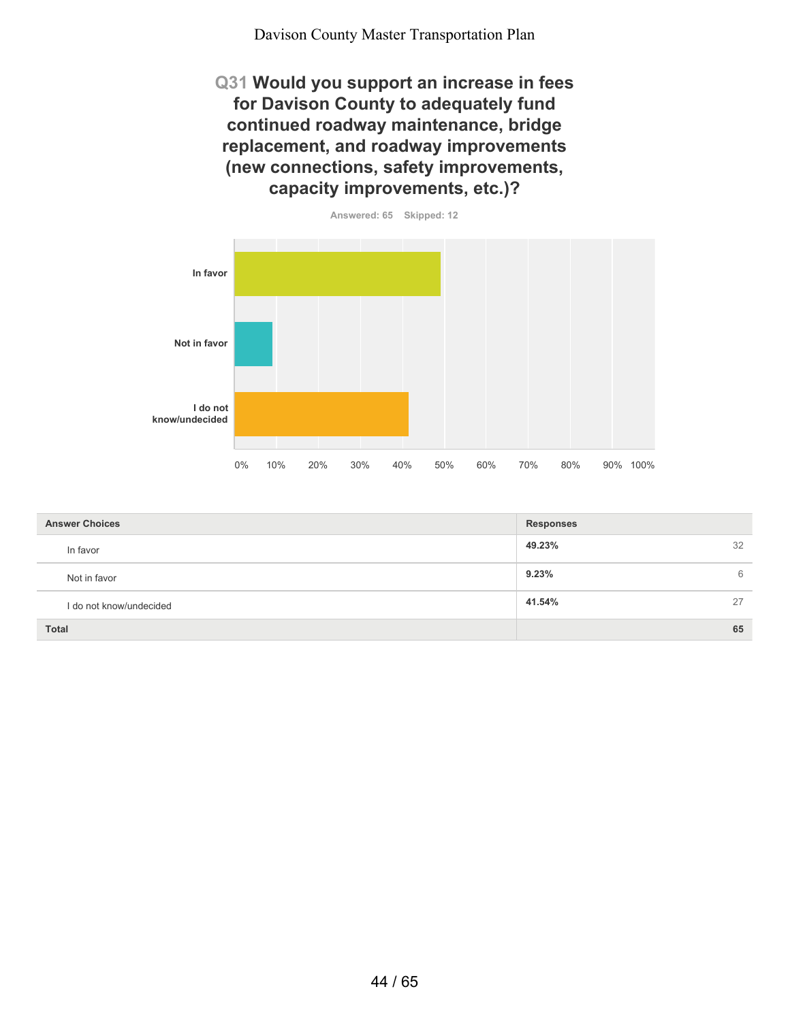**Q31 Would you support an increase in fees for Davison County to adequately fund continued roadway maintenance, bridge replacement, and roadway improvements (new connections, safety improvements, capacity improvements, etc.)?**



| <b>Answer Choices</b>   | <b>Responses</b> |
|-------------------------|------------------|
| In favor                | 32<br>49.23%     |
| Not in favor            | 9.23%<br>6       |
| I do not know/undecided | 41.54%<br>27     |
| <b>Total</b>            | 65               |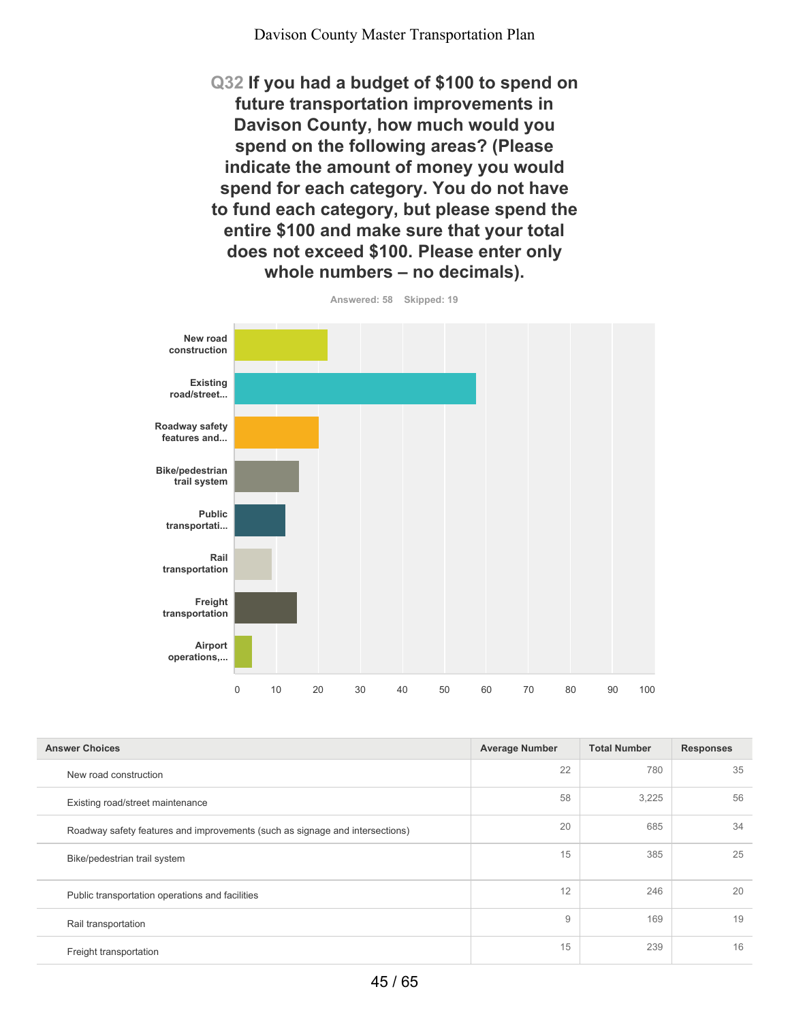**Q32 If you had a budget of \$100 to spend on future transportation improvements in Davison County, how much would you spend on the following areas? (Please indicate the amount of money you would spend for each category. You do not have to fund each category, but please spend the entire \$100 and make sure that your total does not exceed \$100. Please enter only whole numbers – no decimals).**



| <b>Answer Choices</b>                                                        | <b>Average Number</b> | <b>Total Number</b> | <b>Responses</b> |
|------------------------------------------------------------------------------|-----------------------|---------------------|------------------|
| New road construction                                                        | 22                    | 780                 | 35               |
| Existing road/street maintenance                                             | 58                    | 3,225               | 56               |
| Roadway safety features and improvements (such as signage and intersections) | 20                    | 685                 | 34               |
| Bike/pedestrian trail system                                                 | 15                    | 385                 | 25               |
| Public transportation operations and facilities                              | 12                    | 246                 | 20               |
| Rail transportation                                                          | 9                     | 169                 | 19               |
| Freight transportation                                                       | 15                    | 239                 | 16               |

**Answered: 58 Skipped: 19**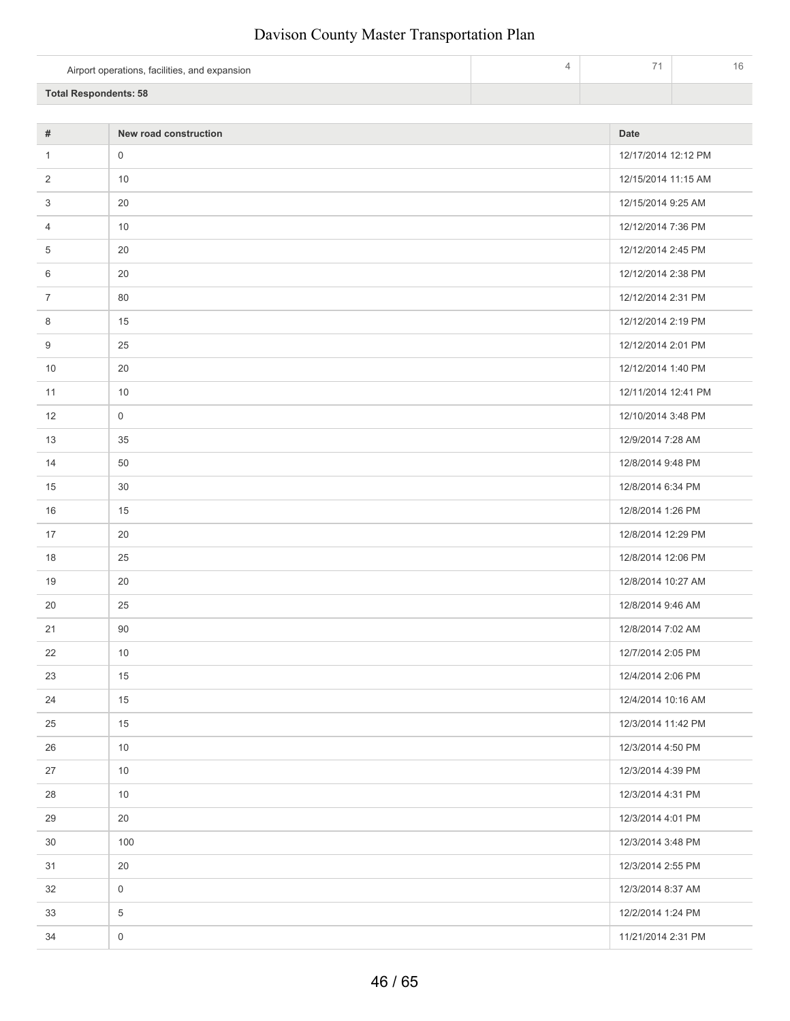| Airport operations, facilities, and expansion | $\overline{\phantom{a}}$ |  |
|-----------------------------------------------|--------------------------|--|
| <b>Total Respondents: 58</b>                  |                          |  |

| $\#$           | New road construction | <b>Date</b>         |
|----------------|-----------------------|---------------------|
| $\mathbf{1}$   | $\mathsf{O}\xspace$   | 12/17/2014 12:12 PM |
| 2              | 10                    | 12/15/2014 11:15 AM |
| 3              | 20                    | 12/15/2014 9:25 AM  |
| 4              | 10                    | 12/12/2014 7:36 PM  |
| 5              | 20                    | 12/12/2014 2:45 PM  |
| 6              | 20                    | 12/12/2014 2:38 PM  |
| $\overline{7}$ | 80                    | 12/12/2014 2:31 PM  |
| 8              | 15                    | 12/12/2014 2:19 PM  |
| 9              | 25                    | 12/12/2014 2:01 PM  |
| 10             | 20                    | 12/12/2014 1:40 PM  |
| 11             | 10                    | 12/11/2014 12:41 PM |
| 12             | $\mathsf{O}\xspace$   | 12/10/2014 3:48 PM  |
| 13             | 35                    | 12/9/2014 7:28 AM   |
| 14             | 50                    | 12/8/2014 9:48 PM   |
| 15             | 30                    | 12/8/2014 6:34 PM   |
| 16             | 15                    | 12/8/2014 1:26 PM   |
| 17             | 20                    | 12/8/2014 12:29 PM  |
| 18             | 25                    | 12/8/2014 12:06 PM  |
| 19             | 20                    | 12/8/2014 10:27 AM  |
| 20             | 25                    | 12/8/2014 9:46 AM   |
| 21             | 90                    | 12/8/2014 7:02 AM   |
| 22             | 10                    | 12/7/2014 2:05 PM   |
| 23             | 15                    | 12/4/2014 2:06 PM   |
| 24             | 15                    | 12/4/2014 10:16 AM  |
| 25             | 15                    | 12/3/2014 11:42 PM  |
| 26             | 10                    | 12/3/2014 4:50 PM   |
| 27             | 10                    | 12/3/2014 4:39 PM   |
| 28             | 10                    | 12/3/2014 4:31 PM   |
| 29             | $20\,$                | 12/3/2014 4:01 PM   |
| 30             | 100                   | 12/3/2014 3:48 PM   |
| 31             | 20                    | 12/3/2014 2:55 PM   |
| 32             | $\mathsf{O}\xspace$   | 12/3/2014 8:37 AM   |
| 33             | $\,$ 5 $\,$           | 12/2/2014 1:24 PM   |
| 34             | $\mathsf{O}\xspace$   | 11/21/2014 2:31 PM  |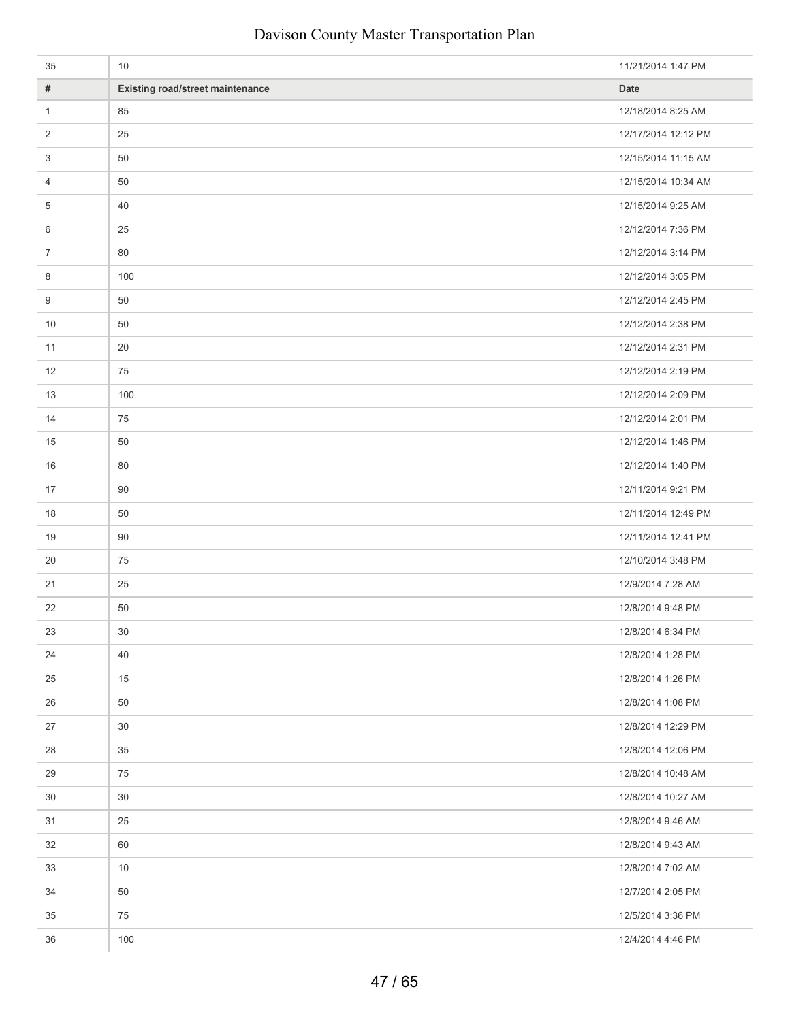| 35             | 10                                      | 11/21/2014 1:47 PM  |
|----------------|-----------------------------------------|---------------------|
| $\#$           | <b>Existing road/street maintenance</b> | <b>Date</b>         |
| $\mathbf{1}$   | 85                                      | 12/18/2014 8:25 AM  |
| $\overline{2}$ | 25                                      | 12/17/2014 12:12 PM |
| 3              | 50                                      | 12/15/2014 11:15 AM |
| 4              | 50                                      | 12/15/2014 10:34 AM |
| 5              | 40                                      | 12/15/2014 9:25 AM  |
| 6              | 25                                      | 12/12/2014 7:36 PM  |
| $\overline{7}$ | 80                                      | 12/12/2014 3:14 PM  |
| 8              | 100                                     | 12/12/2014 3:05 PM  |
| 9              | 50                                      | 12/12/2014 2:45 PM  |
| 10             | 50                                      | 12/12/2014 2:38 PM  |
| 11             | 20                                      | 12/12/2014 2:31 PM  |
| 12             | 75                                      | 12/12/2014 2:19 PM  |
| 13             | 100                                     | 12/12/2014 2:09 PM  |
| 14             | 75                                      | 12/12/2014 2:01 PM  |
| 15             | 50                                      | 12/12/2014 1:46 PM  |
| 16             | 80                                      | 12/12/2014 1:40 PM  |
| 17             | 90                                      | 12/11/2014 9:21 PM  |
| 18             | 50                                      | 12/11/2014 12:49 PM |
| 19             | 90                                      | 12/11/2014 12:41 PM |
| 20             | 75                                      | 12/10/2014 3:48 PM  |
| 21             | 25                                      | 12/9/2014 7:28 AM   |
| 22             | 50                                      | 12/8/2014 9:48 PM   |
| 23             | $30\,$                                  | 12/8/2014 6:34 PM   |
| 24             | 40                                      | 12/8/2014 1:28 PM   |
| 25             | 15                                      | 12/8/2014 1:26 PM   |
| 26             | 50                                      | 12/8/2014 1:08 PM   |
| 27             | 30                                      | 12/8/2014 12:29 PM  |
| 28             | 35                                      | 12/8/2014 12:06 PM  |
| 29             | 75                                      | 12/8/2014 10:48 AM  |
| 30             | 30                                      | 12/8/2014 10:27 AM  |
| 31             | 25                                      | 12/8/2014 9:46 AM   |
| 32             | 60                                      | 12/8/2014 9:43 AM   |
| 33             | 10                                      | 12/8/2014 7:02 AM   |
| 34             | 50                                      | 12/7/2014 2:05 PM   |
| 35             | 75                                      | 12/5/2014 3:36 PM   |
| 36             | 100                                     | 12/4/2014 4:46 PM   |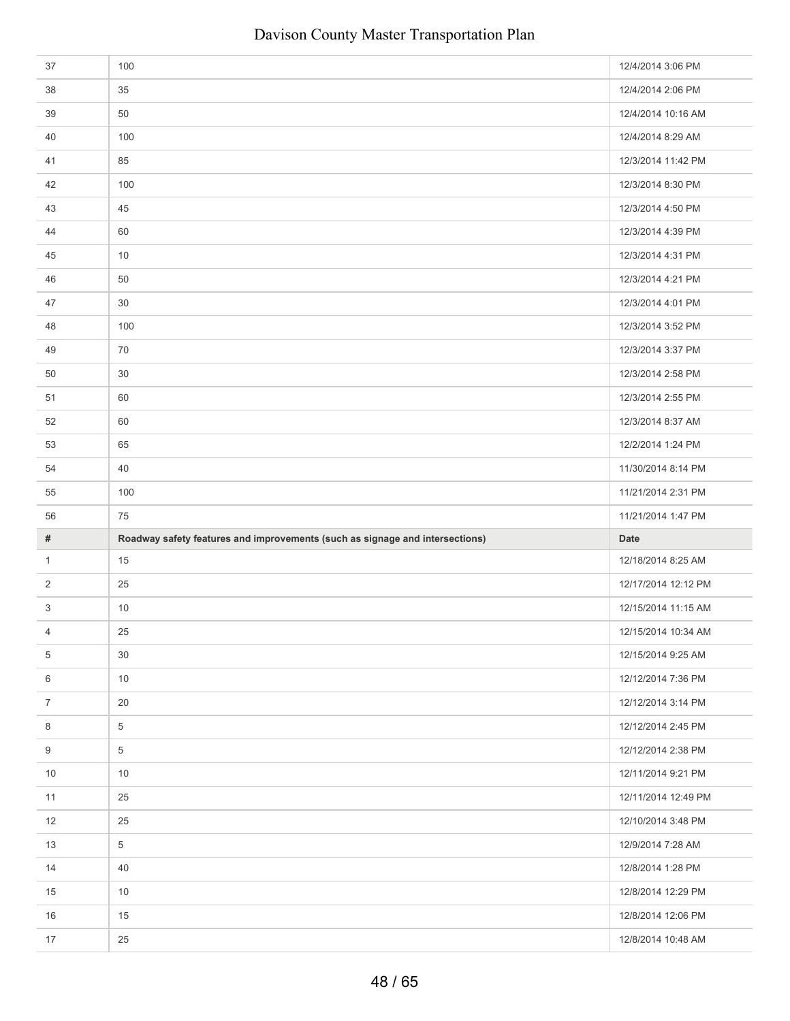| 37             | 100                                                                          | 12/4/2014 3:06 PM   |
|----------------|------------------------------------------------------------------------------|---------------------|
| 38             | 35                                                                           | 12/4/2014 2:06 PM   |
| 39             | 50                                                                           | 12/4/2014 10:16 AM  |
| 40             | 100                                                                          | 12/4/2014 8:29 AM   |
| 41             | 85                                                                           | 12/3/2014 11:42 PM  |
| 42             | 100                                                                          | 12/3/2014 8:30 PM   |
| 43             | 45                                                                           | 12/3/2014 4:50 PM   |
| 44             | 60                                                                           | 12/3/2014 4:39 PM   |
| 45             | 10                                                                           | 12/3/2014 4:31 PM   |
| 46             | 50                                                                           | 12/3/2014 4:21 PM   |
| 47             | 30                                                                           | 12/3/2014 4:01 PM   |
| 48             | 100                                                                          | 12/3/2014 3:52 PM   |
| 49             | 70                                                                           | 12/3/2014 3:37 PM   |
| 50             | 30                                                                           | 12/3/2014 2:58 PM   |
| 51             | 60                                                                           | 12/3/2014 2:55 PM   |
| 52             | 60                                                                           | 12/3/2014 8:37 AM   |
| 53             | 65                                                                           | 12/2/2014 1:24 PM   |
| 54             | 40                                                                           | 11/30/2014 8:14 PM  |
| 55             | 100                                                                          | 11/21/2014 2:31 PM  |
|                |                                                                              |                     |
| 56             | 75                                                                           | 11/21/2014 1:47 PM  |
| $\#$           | Roadway safety features and improvements (such as signage and intersections) | Date                |
| $\mathbf{1}$   | 15                                                                           | 12/18/2014 8:25 AM  |
| 2              | 25                                                                           | 12/17/2014 12:12 PM |
| 3              | $10$                                                                         | 12/15/2014 11:15 AM |
| 4              | 25                                                                           | 12/15/2014 10:34 AM |
| 5              | 30                                                                           | 12/15/2014 9:25 AM  |
| 6              | 10                                                                           | 12/12/2014 7:36 PM  |
| $\overline{7}$ | 20                                                                           | 12/12/2014 3:14 PM  |
| 8              | 5                                                                            | 12/12/2014 2:45 PM  |
| 9              | 5                                                                            | 12/12/2014 2:38 PM  |
| 10             | 10                                                                           | 12/11/2014 9:21 PM  |
| 11             | 25                                                                           | 12/11/2014 12:49 PM |
| 12             | 25                                                                           | 12/10/2014 3:48 PM  |
| 13             | 5                                                                            | 12/9/2014 7:28 AM   |
| 14             | 40                                                                           | 12/8/2014 1:28 PM   |
| 15             | 10                                                                           | 12/8/2014 12:29 PM  |
| 16             | 15                                                                           | 12/8/2014 12:06 PM  |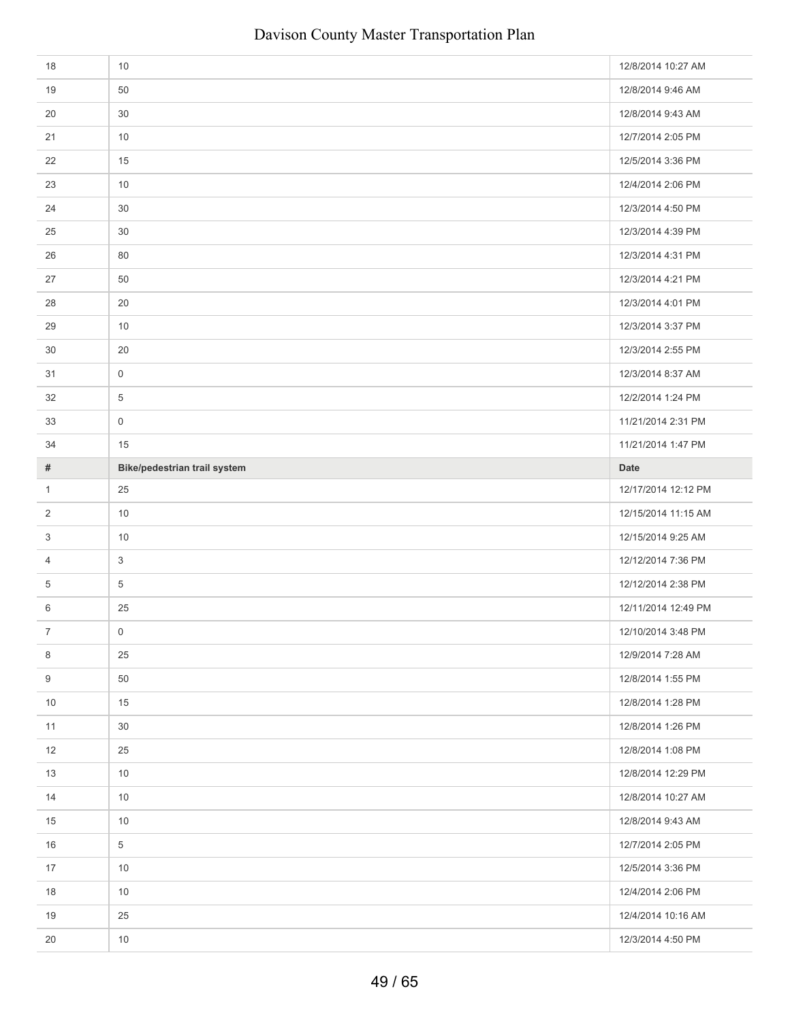| 18             | 10                           | 12/8/2014 10:27 AM  |
|----------------|------------------------------|---------------------|
| 19             | 50                           | 12/8/2014 9:46 AM   |
| 20             | 30                           | 12/8/2014 9:43 AM   |
| 21             | 10                           | 12/7/2014 2:05 PM   |
| 22             | 15                           | 12/5/2014 3:36 PM   |
| 23             | 10                           | 12/4/2014 2:06 PM   |
| 24             | 30                           | 12/3/2014 4:50 PM   |
| 25             | 30                           | 12/3/2014 4:39 PM   |
| 26             | 80                           | 12/3/2014 4:31 PM   |
| 27             | 50                           | 12/3/2014 4:21 PM   |
| 28             | 20                           | 12/3/2014 4:01 PM   |
| 29             | 10                           | 12/3/2014 3:37 PM   |
| 30             | 20                           | 12/3/2014 2:55 PM   |
| 31             | $\mathsf 0$                  | 12/3/2014 8:37 AM   |
| 32             | 5                            | 12/2/2014 1:24 PM   |
| 33             | $\mathbf 0$                  | 11/21/2014 2:31 PM  |
| 34             | 15                           | 11/21/2014 1:47 PM  |
| #              | Bike/pedestrian trail system | <b>Date</b>         |
| $\mathbf{1}$   | 25                           | 12/17/2014 12:12 PM |
|                |                              |                     |
| 2              | 10                           | 12/15/2014 11:15 AM |
| 3              | 10                           | 12/15/2014 9:25 AM  |
| 4              | $\mathbf{3}$                 | 12/12/2014 7:36 PM  |
| 5              | 5                            | 12/12/2014 2:38 PM  |
| 6              | 25                           | 12/11/2014 12:49 PM |
| $\overline{7}$ | $\mathbf 0$                  | 12/10/2014 3:48 PM  |
| 8              | 25                           | 12/9/2014 7:28 AM   |
| 9              | 50                           | 12/8/2014 1:55 PM   |
| 10             | 15                           | 12/8/2014 1:28 PM   |
| 11             | 30                           | 12/8/2014 1:26 PM   |
| 12             | 25                           | 12/8/2014 1:08 PM   |
| 13             | 10                           | 12/8/2014 12:29 PM  |
| 14             | 10                           | 12/8/2014 10:27 AM  |
| 15             | 10                           | 12/8/2014 9:43 AM   |
| 16             | 5                            | 12/7/2014 2:05 PM   |
| 17             | 10                           | 12/5/2014 3:36 PM   |
| 18             | 10                           | 12/4/2014 2:06 PM   |
| 19             | 25                           | 12/4/2014 10:16 AM  |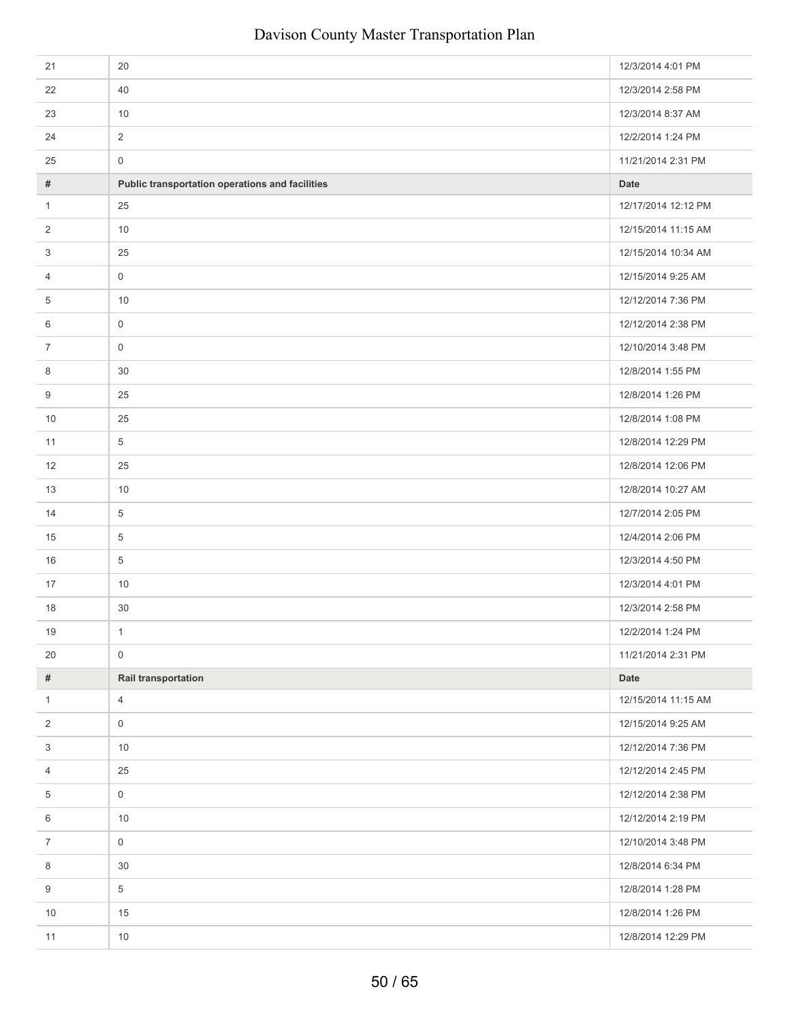| 21               | 20                                              | 12/3/2014 4:01 PM   |
|------------------|-------------------------------------------------|---------------------|
| 22               | 40                                              | 12/3/2014 2:58 PM   |
| 23               | 10                                              | 12/3/2014 8:37 AM   |
| 24               | $\overline{2}$                                  | 12/2/2014 1:24 PM   |
| 25               | $\mathsf{O}\xspace$                             | 11/21/2014 2:31 PM  |
| #                | Public transportation operations and facilities | <b>Date</b>         |
| 1                | 25                                              | 12/17/2014 12:12 PM |
| 2                | 10                                              | 12/15/2014 11:15 AM |
| 3                | 25                                              | 12/15/2014 10:34 AM |
| 4                | $\mathsf{O}\xspace$                             | 12/15/2014 9:25 AM  |
| 5                | 10                                              | 12/12/2014 7:36 PM  |
| 6                | $\mathsf{O}\xspace$                             | 12/12/2014 2:38 PM  |
| $\overline{7}$   | $\mathsf 0$                                     | 12/10/2014 3:48 PM  |
| 8                | $30\,$                                          | 12/8/2014 1:55 PM   |
| 9                | 25                                              | 12/8/2014 1:26 PM   |
| 10               | 25                                              | 12/8/2014 1:08 PM   |
| 11               | $\overline{5}$                                  | 12/8/2014 12:29 PM  |
| 12               | 25                                              | 12/8/2014 12:06 PM  |
| 13               | 10                                              | 12/8/2014 10:27 AM  |
| 14               | $\overline{5}$                                  | 12/7/2014 2:05 PM   |
| 15               | $\overline{5}$                                  | 12/4/2014 2:06 PM   |
| 16               | $\overline{5}$                                  | 12/3/2014 4:50 PM   |
| 17               | 10                                              | 12/3/2014 4:01 PM   |
| 18               | $30\,$                                          | 12/3/2014 2:58 PM   |
| 19               | $\mathbf{1}$                                    | 12/2/2014 1:24 PM   |
| 20               | $\mathsf{O}\xspace$                             | 11/21/2014 2:31 PM  |
| $\#$             | Rail transportation                             | Date                |
| $\mathbf{1}$     | $\overline{4}$                                  | 12/15/2014 11:15 AM |
| 2                | $\mathsf{O}\xspace$                             | 12/15/2014 9:25 AM  |
| $\sqrt{3}$       | 10                                              | 12/12/2014 7:36 PM  |
| 4                | 25                                              | 12/12/2014 2:45 PM  |
| $\,$ 5 $\,$      | $\mathsf{O}\xspace$                             | 12/12/2014 2:38 PM  |
| 6                | 10                                              | 12/12/2014 2:19 PM  |
| $\boldsymbol{7}$ | $\mathsf{O}\xspace$                             | 12/10/2014 3:48 PM  |
| 8                | 30                                              | 12/8/2014 6:34 PM   |
| 9                | $\sqrt{5}$                                      | 12/8/2014 1:28 PM   |
| 10               | 15                                              | 12/8/2014 1:26 PM   |
| 11               | $10\,$                                          | 12/8/2014 12:29 PM  |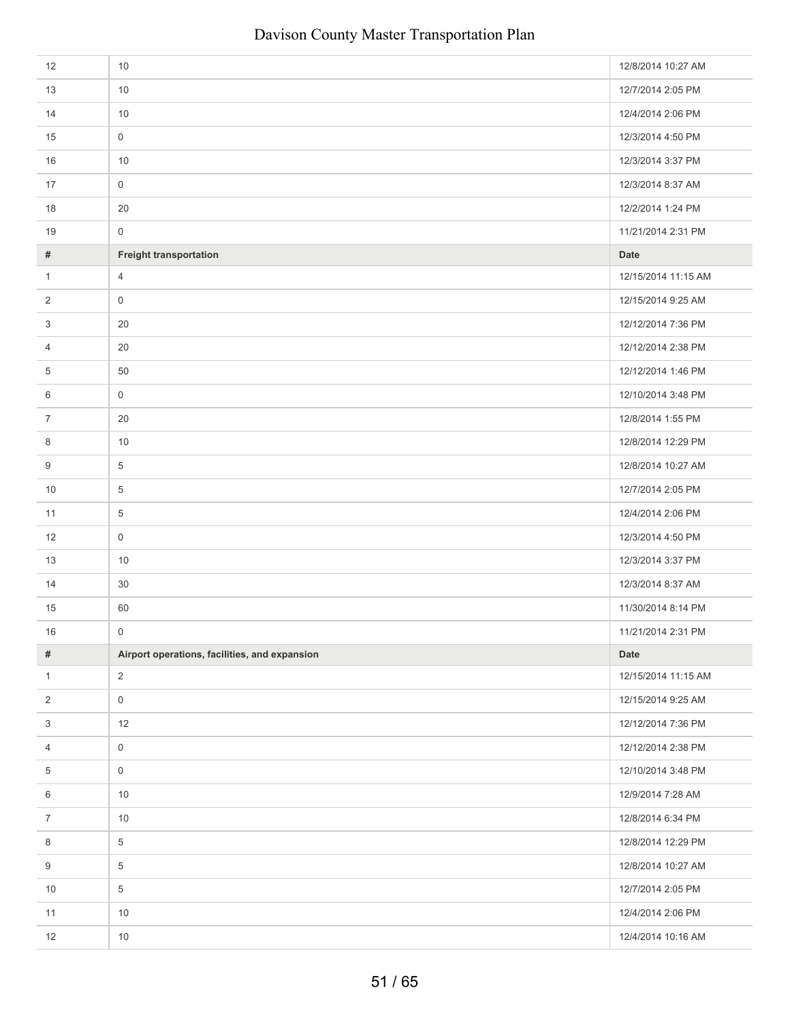| 12                      | 10                                            | 12/8/2014 10:27 AM  |
|-------------------------|-----------------------------------------------|---------------------|
| 13                      | 10                                            | 12/7/2014 2:05 PM   |
| 14                      | 10                                            | 12/4/2014 2:06 PM   |
| 15                      | $\mathsf 0$                                   | 12/3/2014 4:50 PM   |
| 16                      | 10                                            | 12/3/2014 3:37 PM   |
| 17                      | $\mathsf{O}\xspace$                           | 12/3/2014 8:37 AM   |
| 18                      | 20                                            | 12/2/2014 1:24 PM   |
| 19                      | $\mathsf{O}\xspace$                           | 11/21/2014 2:31 PM  |
| #                       | <b>Freight transportation</b>                 | <b>Date</b>         |
| $\mathbf{1}$            | $\overline{4}$                                | 12/15/2014 11:15 AM |
| 2                       | $\mathsf 0$                                   | 12/15/2014 9:25 AM  |
| 3                       | 20                                            | 12/12/2014 7:36 PM  |
| 4                       | 20                                            | 12/12/2014 2:38 PM  |
| 5                       | 50                                            | 12/12/2014 1:46 PM  |
| 6                       | $\mathsf{O}\xspace$                           | 12/10/2014 3:48 PM  |
| 7                       | 20                                            | 12/8/2014 1:55 PM   |
| 8                       | 10                                            | 12/8/2014 12:29 PM  |
| 9                       | 5                                             | 12/8/2014 10:27 AM  |
| 10                      | $\overline{5}$                                | 12/7/2014 2:05 PM   |
| 11                      | 5                                             | 12/4/2014 2:06 PM   |
| 12                      | $\mathbf 0$                                   | 12/3/2014 4:50 PM   |
| 13                      | 10                                            | 12/3/2014 3:37 PM   |
| 14                      | 30                                            | 12/3/2014 8:37 AM   |
| 15                      | 60                                            | 11/30/2014 8:14 PM  |
| 16                      | $\overline{0}$                                | 11/21/2014 2:31 PM  |
| #                       | Airport operations, facilities, and expansion | Date                |
| $\mathbf{1}$            | $\overline{2}$                                | 12/15/2014 11:15 AM |
| $\overline{\mathbf{c}}$ | $\mathsf 0$                                   | 12/15/2014 9:25 AM  |
| 3                       | 12                                            | 12/12/2014 7:36 PM  |
| 4                       | $\mathsf{O}\xspace$                           | 12/12/2014 2:38 PM  |
| 5                       | $\mathsf{O}\xspace$                           | 12/10/2014 3:48 PM  |
| 6                       | 10                                            | 12/9/2014 7:28 AM   |
| $\overline{7}$          | 10                                            | 12/8/2014 6:34 PM   |
| 8                       | $\,$ 5 $\,$                                   | 12/8/2014 12:29 PM  |
| 9                       | 5                                             | 12/8/2014 10:27 AM  |
| $10$                    | $\,$ 5 $\,$                                   | 12/7/2014 2:05 PM   |
| $11$                    | 10                                            | 12/4/2014 2:06 PM   |
| 12                      | $10$                                          | 12/4/2014 10:16 AM  |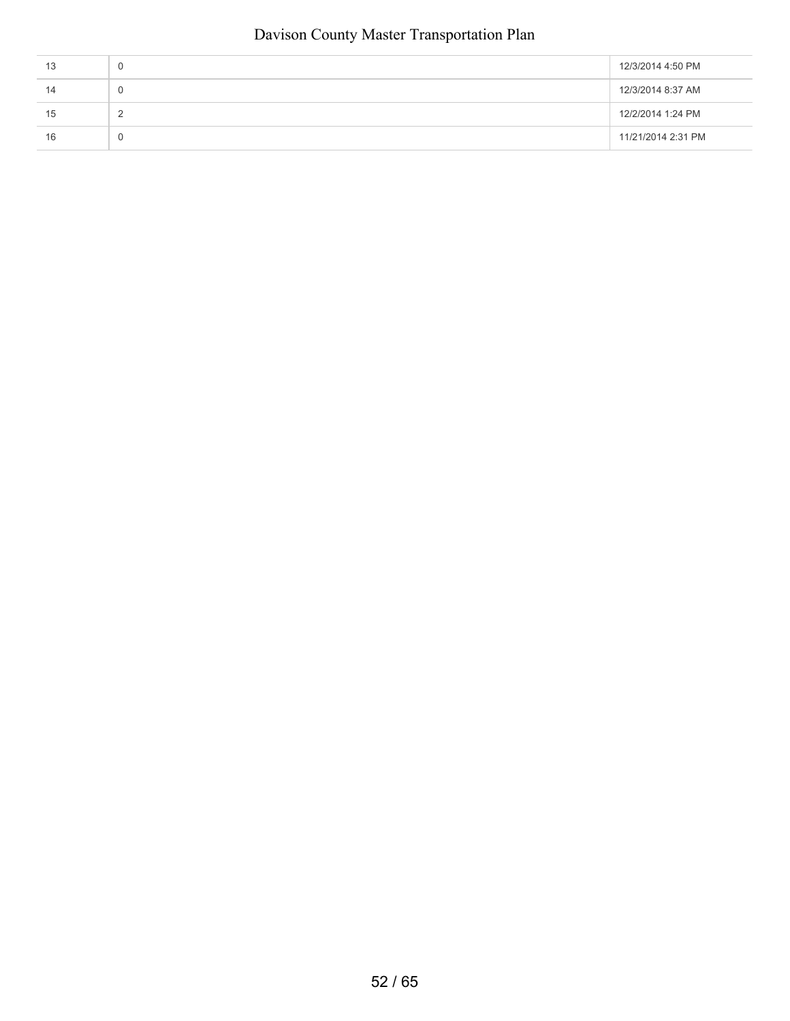| 13 | u | 12/3/2014 4:50 PM  |
|----|---|--------------------|
| 14 | υ | 12/3/2014 8:37 AM  |
| 15 |   | 12/2/2014 1:24 PM  |
| 16 | υ | 11/21/2014 2:31 PM |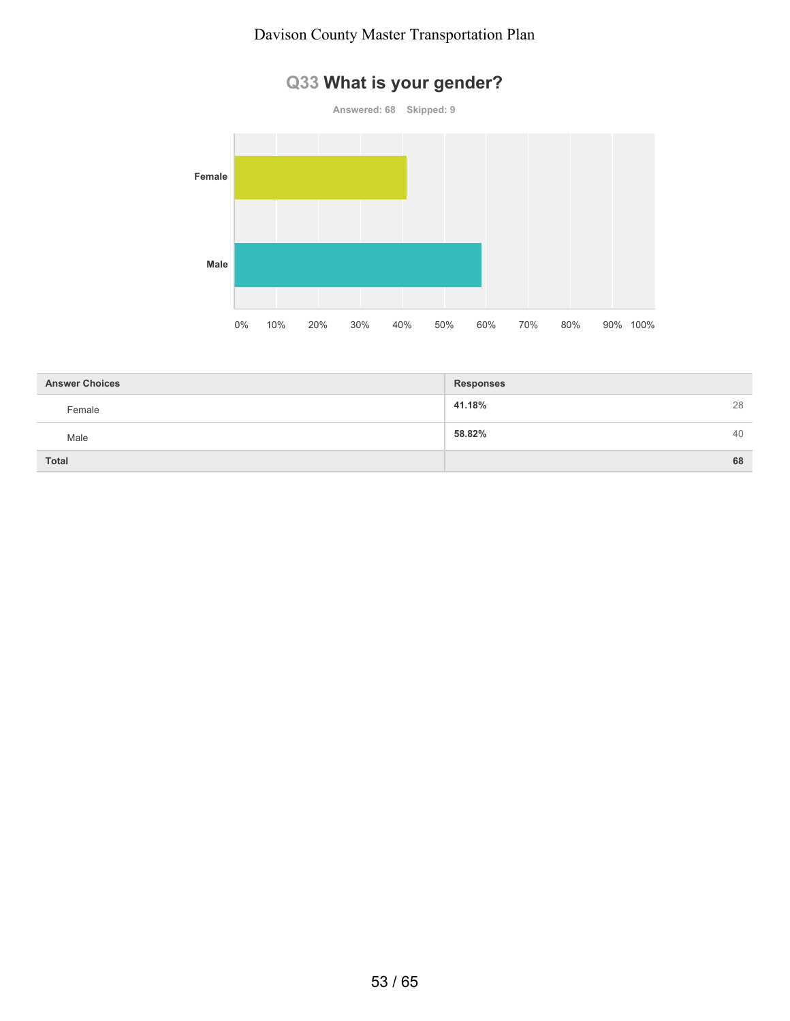# **Q33 What is your gender?**



| <b>Answer Choices</b> | <b>Responses</b> |
|-----------------------|------------------|
| Female                | 28<br>41.18%     |
| Male                  | 58.82%<br>40     |
| <b>Total</b>          | 68               |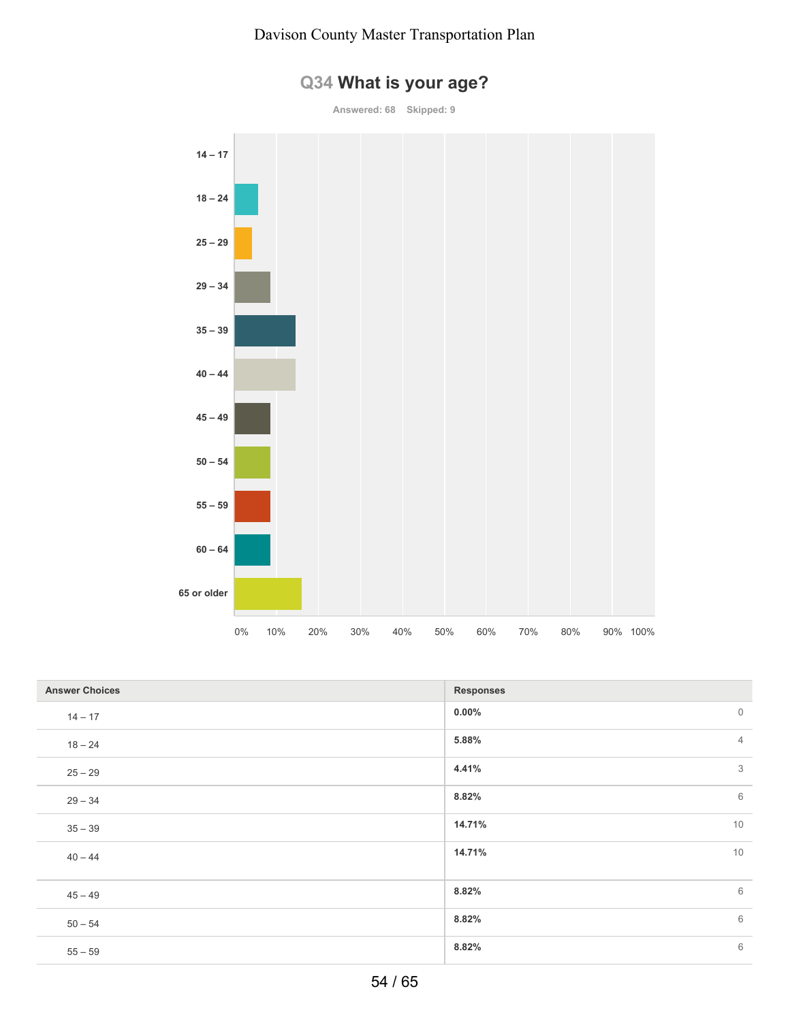

# **Q34 What is your age?**

**Answered: 68 Skipped: 9**

| <b>Answer Choices</b> | <b>Responses</b>        |
|-----------------------|-------------------------|
| $14 - 17$             | $0.00\%$<br>$\mathbb O$ |
| $18 - 24$             | $\overline{4}$<br>5.88% |
| $25 - 29$             | 3<br>4.41%              |
| $29 - 34$             | 6<br>8.82%              |
| $35 - 39$             | 10<br>14.71%            |
| $40 - 44$             | 10<br>14.71%            |
| $45 - 49$             | 6<br>8.82%              |
| $50 - 54$             | 6<br>8.82%              |
| $55 - 59$             | 6<br>8.82%              |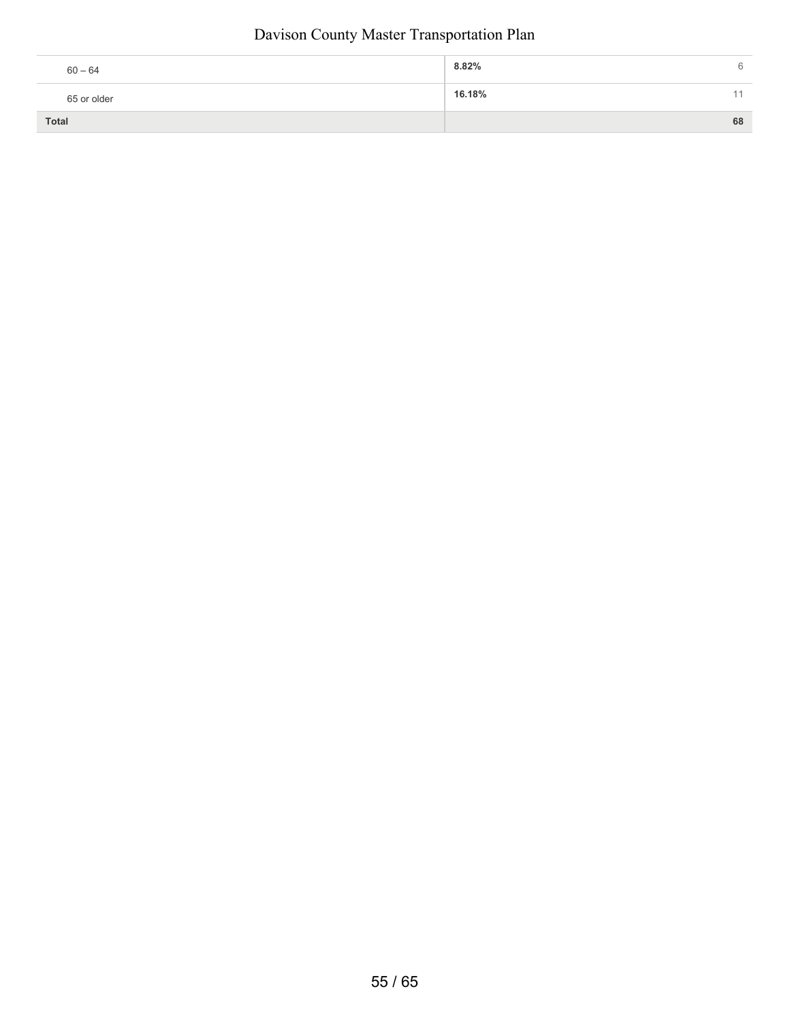| $60 - 64$   | 8.82%<br>h |
|-------------|------------|
| 65 or older | 16.18%     |
| Total       | 68         |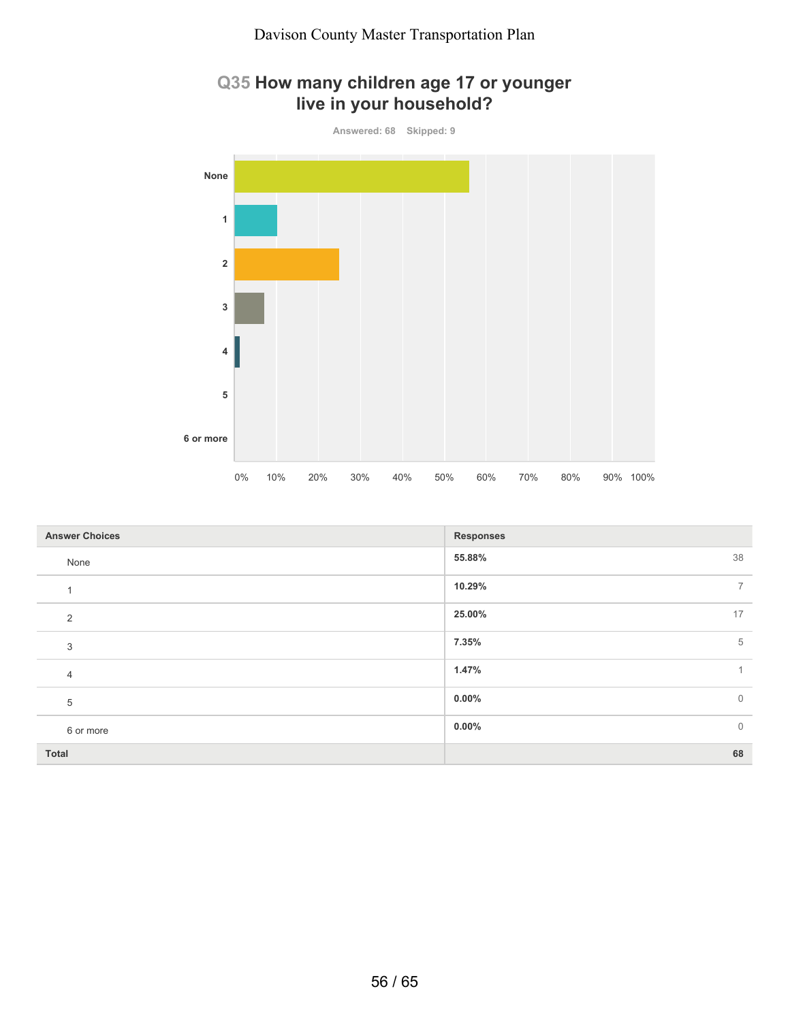## **Q35 How many children age 17 or younger live in your household?**



| <b>Answer Choices</b> | <b>Responses</b>           |
|-----------------------|----------------------------|
| None                  | 38<br>55.88%               |
| $\overline{A}$        | 10.29%<br>$\overline{7}$   |
| 2                     | 17<br>25.00%               |
| 3                     | 7.35%<br>5                 |
| 4                     | 1.47%<br>$\mathbf{1}$      |
| 5                     | $0.00\%$<br>$\overline{0}$ |
| 6 or more             | $\mathbf 0$<br>$0.00\%$    |
| Total                 | 68                         |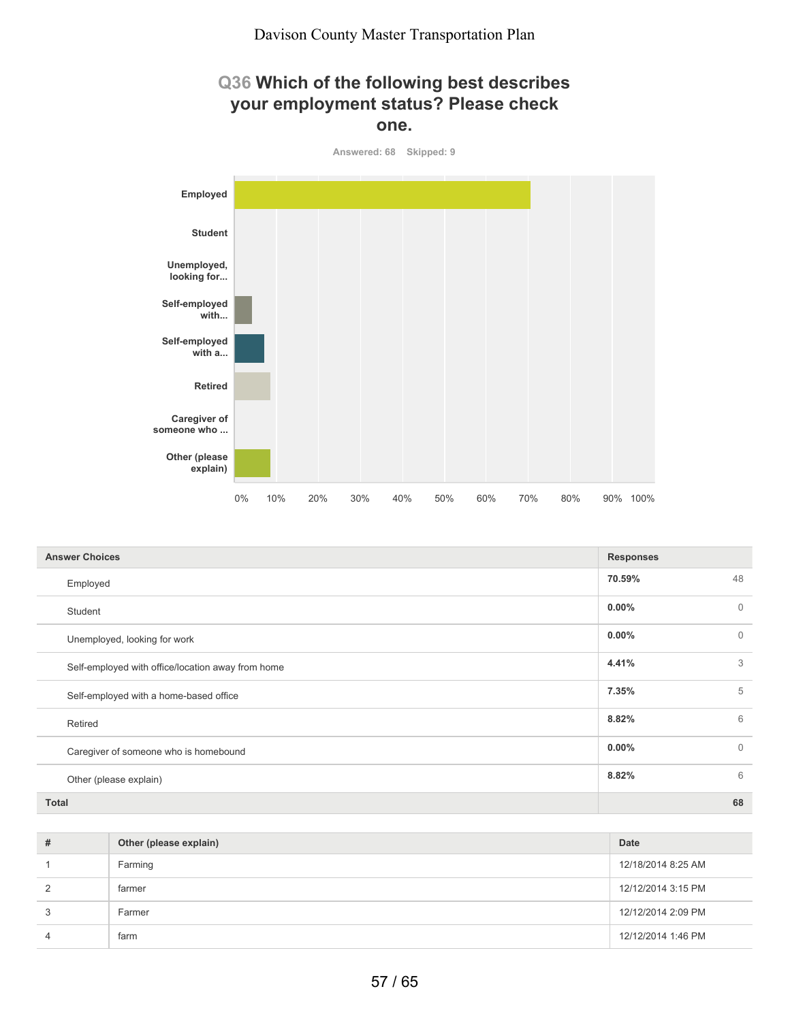## **Q36 Which of the following best describes your employment status? Please check one.**



| <b>Answer Choices</b>                             | <b>Responses</b> |                |
|---------------------------------------------------|------------------|----------------|
| Employed                                          | 70.59%           | 48             |
| Student                                           | $0.00\%$         | $\overline{0}$ |
| Unemployed, looking for work                      | $0.00\%$         | $\overline{0}$ |
| Self-employed with office/location away from home | 4.41%            | 3              |
| Self-employed with a home-based office            | 7.35%            | 5              |
| Retired                                           | 8.82%            | 6              |
| Caregiver of someone who is homebound             | $0.00\%$         | $\overline{0}$ |
| Other (please explain)                            | 8.82%            | 6              |
| <b>Total</b>                                      |                  | 68             |

| # | Other (please explain) | Date               |
|---|------------------------|--------------------|
|   | Farming                | 12/18/2014 8:25 AM |
| 2 | farmer                 | 12/12/2014 3:15 PM |
| 3 | Farmer                 | 12/12/2014 2:09 PM |
| 4 | farm                   | 12/12/2014 1:46 PM |